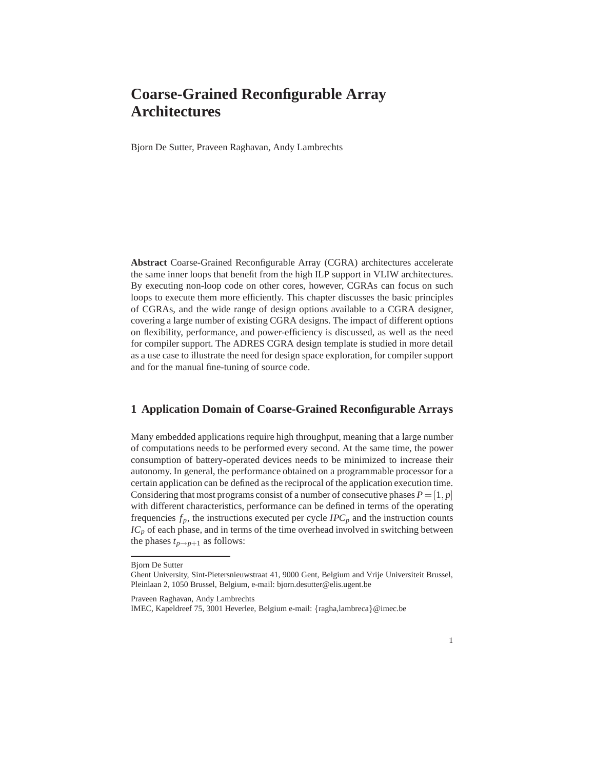# **Coarse-Grained Reconfigurable Array Architectures**

Bjorn De Sutter, Praveen Raghavan, Andy Lambrechts

**Abstract** Coarse-Grained Reconfigurable Array (CGRA) architectures accelerate the same inner loops that benefit from the high ILP support in VLIW architectures. By executing non-loop code on other cores, however, CGRAs can focus on such loops to execute them more efficiently. This chapter discusses the basic principles of CGRAs, and the wide range of design options available to a CGRA designer, covering a large number of existing CGRA designs. The impact of different options on flexibility, performance, and power-efficiency is discussed, as well as the need for compiler support. The ADRES CGRA design template is studied in more detail as a use case to illustrate the need for design space exploration, for compiler support and for the manual fine-tuning of source code.

# **1 Application Domain of Coarse-Grained Reconfigurable Arrays**

Many embedded applications require high throughput, meaning that a large number of computations needs to be performed every second. At the same time, the power consumption of battery-operated devices needs to be minimized to increase their autonomy. In general, the performance obtained on a programmable processor for a certain application can be defined as the reciprocal of the application execution time. Considering that most programs consist of a number of consecutive phases  $P = [1, p]$ with different characteristics, performance can be defined in terms of the operating frequencies  $f_p$ , the instructions executed per cycle  $IPC_p$  and the instruction counts *IC<sub>p</sub>* of each phase, and in terms of the time overhead involved in switching between the phases  $t_{p\to p+1}$  as follows:

Praveen Raghavan, Andy Lambrechts

Bjorn De Sutter

Ghent University, Sint-Pietersnieuwstraat 41, 9000 Gent, Belgium and Vrije Universiteit Brussel, Pleinlaan 2, 1050 Brussel, Belgium, e-mail: bjorn.desutter@elis.ugent.be

IMEC, Kapeldreef 75, 3001 Heverlee, Belgium e-mail: {ragha,lambreca}@imec.be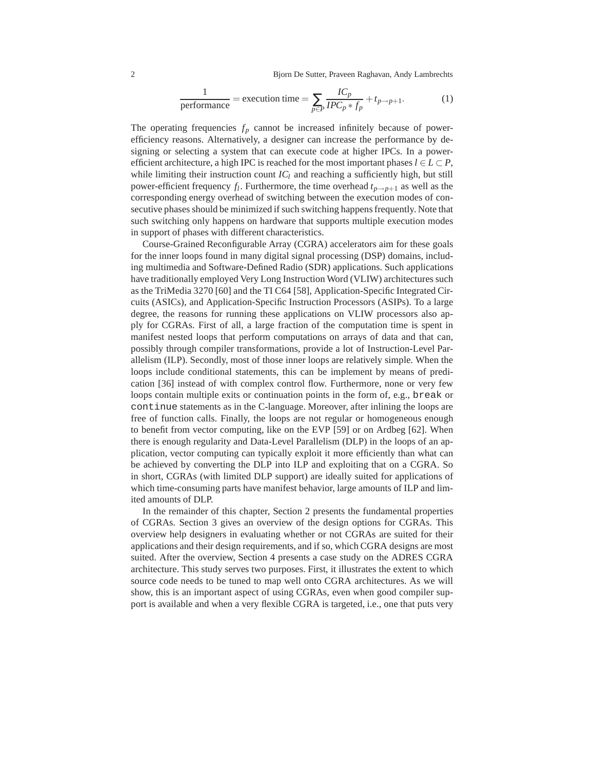2 Bjorn De Sutter, Praveen Raghavan, Andy Lambrechts

$$
\frac{1}{\text{performance}} = \text{execution time} = \sum_{p \in P} \frac{IC_p}{IPC_p * f_p} + t_{p \to p+1}.
$$
 (1)

The operating frequencies  $f_p$  cannot be increased infinitely because of powerefficiency reasons. Alternatively, a designer can increase the performance by designing or selecting a system that can execute code at higher IPCs. In a powerefficient architecture, a high IPC is reached for the most important phases  $l \in L \subset P$ , while limiting their instruction count  $IC_l$  and reaching a sufficiently high, but still power-efficient frequency  $f_l$ . Furthermore, the time overhead  $t_{p\rightarrow p+1}$  as well as the corresponding energy overhead of switching between the execution modes of consecutive phases should be minimized if such switching happens frequently. Note that such switching only happens on hardware that supports multiple execution modes in support of phases with different characteristics.

Course-Grained Reconfigurable Array (CGRA) accelerators aim for these goals for the inner loops found in many digital signal processing (DSP) domains, including multimedia and Software-Defined Radio (SDR) applications. Such applications have traditionally employed Very Long Instruction Word (VLIW) architectures such as the TriMedia 3270 [60] and the TI C64 [58], Application-Specific Integrated Circuits (ASICs), and Application-Specific Instruction Processors (ASIPs). To a large degree, the reasons for running these applications on VLIW processors also apply for CGRAs. First of all, a large fraction of the computation time is spent in manifest nested loops that perform computations on arrays of data and that can, possibly through compiler transformations, provide a lot of Instruction-Level Parallelism (ILP). Secondly, most of those inner loops are relatively simple. When the loops include conditional statements, this can be implement by means of predication [36] instead of with complex control flow. Furthermore, none or very few loops contain multiple exits or continuation points in the form of, e.g., break or continue statements as in the C-language. Moreover, after inlining the loops are free of function calls. Finally, the loops are not regular or homogeneous enough to benefit from vector computing, like on the EVP [59] or on Ardbeg [62]. When there is enough regularity and Data-Level Parallelism (DLP) in the loops of an application, vector computing can typically exploit it more efficiently than what can be achieved by converting the DLP into ILP and exploiting that on a CGRA. So in short, CGRAs (with limited DLP support) are ideally suited for applications of which time-consuming parts have manifest behavior, large amounts of ILP and limited amounts of DLP.

In the remainder of this chapter, Section 2 presents the fundamental properties of CGRAs. Section 3 gives an overview of the design options for CGRAs. This overview help designers in evaluating whether or not CGRAs are suited for their applications and their design requirements, and if so, which CGRA designs are most suited. After the overview, Section 4 presents a case study on the ADRES CGRA architecture. This study serves two purposes. First, it illustrates the extent to which source code needs to be tuned to map well onto CGRA architectures. As we will show, this is an important aspect of using CGRAs, even when good compiler support is available and when a very flexible CGRA is targeted, i.e., one that puts very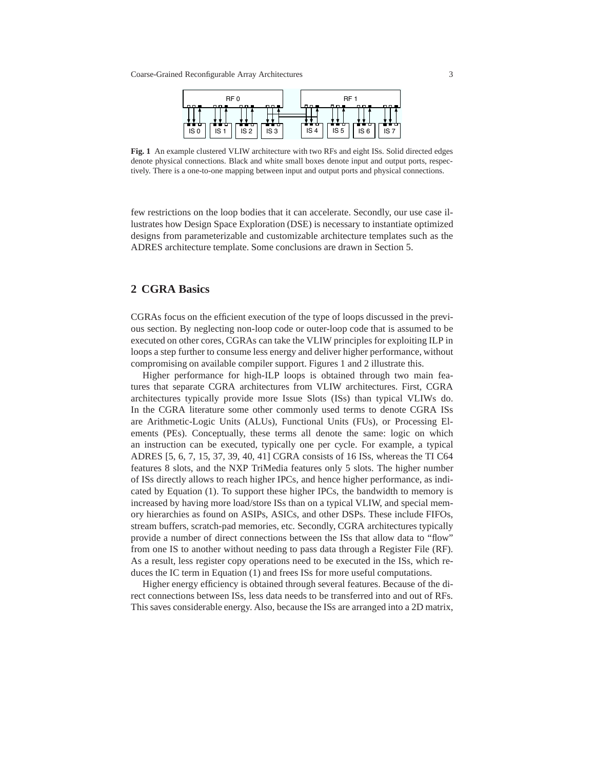

**Fig. 1** An example clustered VLIW architecture with two RFs and eight ISs. Solid directed edges denote physical connections. Black and white small boxes denote input and output ports, respectively. There is a one-to-one mapping between input and output ports and physical connections.

few restrictions on the loop bodies that it can accelerate. Secondly, our use case illustrates how Design Space Exploration (DSE) is necessary to instantiate optimized designs from parameterizable and customizable architecture templates such as the ADRES architecture template. Some conclusions are drawn in Section 5.

# **2 CGRA Basics**

CGRAs focus on the efficient execution of the type of loops discussed in the previous section. By neglecting non-loop code or outer-loop code that is assumed to be executed on other cores, CGRAs can take the VLIW principles for exploiting ILP in loops a step further to consume less energy and deliver higher performance, without compromising on available compiler support. Figures 1 and 2 illustrate this.

Higher performance for high-ILP loops is obtained through two main features that separate CGRA architectures from VLIW architectures. First, CGRA architectures typically provide more Issue Slots (ISs) than typical VLIWs do. In the CGRA literature some other commonly used terms to denote CGRA ISs are Arithmetic-Logic Units (ALUs), Functional Units (FUs), or Processing Elements (PEs). Conceptually, these terms all denote the same: logic on which an instruction can be executed, typically one per cycle. For example, a typical ADRES [5, 6, 7, 15, 37, 39, 40, 41] CGRA consists of 16 ISs, whereas the TI C64 features 8 slots, and the NXP TriMedia features only 5 slots. The higher number of ISs directly allows to reach higher IPCs, and hence higher performance, as indicated by Equation (1). To support these higher IPCs, the bandwidth to memory is increased by having more load/store ISs than on a typical VLIW, and special memory hierarchies as found on ASIPs, ASICs, and other DSPs. These include FIFOs, stream buffers, scratch-pad memories, etc. Secondly, CGRA architectures typically provide a number of direct connections between the ISs that allow data to "flow" from one IS to another without needing to pass data through a Register File (RF). As a result, less register copy operations need to be executed in the ISs, which reduces the IC term in Equation (1) and frees ISs for more useful computations.

Higher energy efficiency is obtained through several features. Because of the direct connections between ISs, less data needs to be transferred into and out of RFs. This saves considerable energy. Also, because the ISs are arranged into a 2D matrix,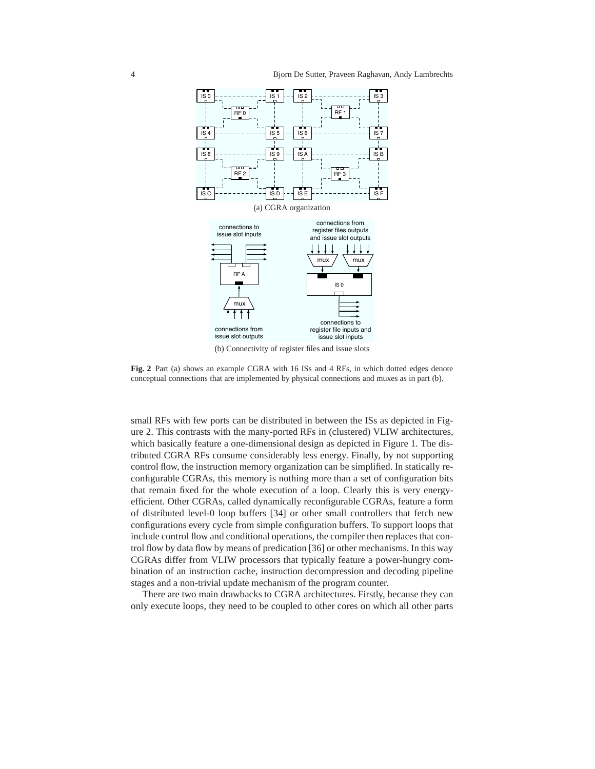

(b) Connectivity of register files and issue slots

**Fig. 2** Part (a) shows an example CGRA with 16 ISs and 4 RFs, in which dotted edges denote conceptual connections that are implemented by physical connections and muxes as in part (b).

small RFs with few ports can be distributed in between the ISs as depicted in Figure 2. This contrasts with the many-ported RFs in (clustered) VLIW architectures, which basically feature a one-dimensional design as depicted in Figure 1. The distributed CGRA RFs consume considerably less energy. Finally, by not supporting control flow, the instruction memory organization can be simplified. In statically reconfigurable CGRAs, this memory is nothing more than a set of configuration bits that remain fixed for the whole execution of a loop. Clearly this is very energyefficient. Other CGRAs, called dynamically reconfigurable CGRAs, feature a form of distributed level-0 loop buffers [34] or other small controllers that fetch new configurations every cycle from simple configuration buffers. To support loops that include control flow and conditional operations, the compiler then replaces that control flow by data flow by means of predication [36] or other mechanisms. In this way CGRAs differ from VLIW processors that typically feature a power-hungry combination of an instruction cache, instruction decompression and decoding pipeline stages and a non-trivial update mechanism of the program counter.

There are two main drawbacks to CGRA architectures. Firstly, because they can only execute loops, they need to be coupled to other cores on which all other parts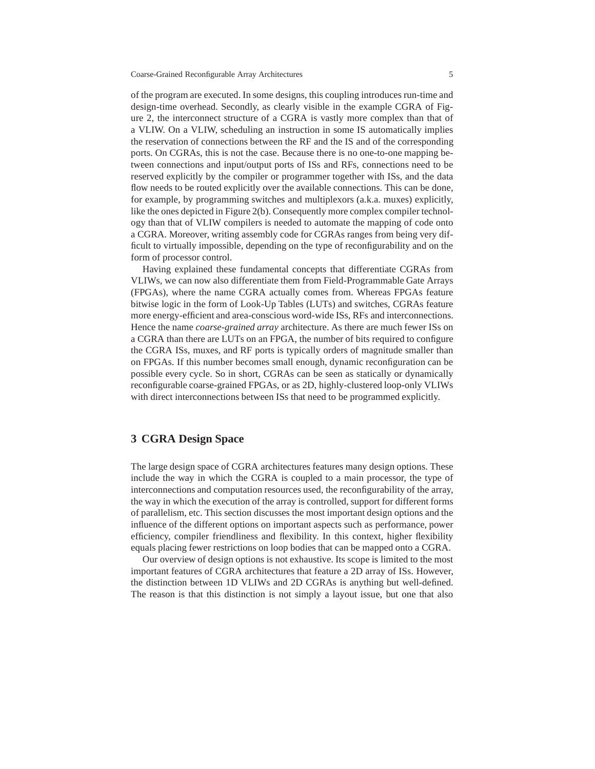of the program are executed. In some designs, this coupling introduces run-time and design-time overhead. Secondly, as clearly visible in the example CGRA of Figure 2, the interconnect structure of a CGRA is vastly more complex than that of a VLIW. On a VLIW, scheduling an instruction in some IS automatically implies the reservation of connections between the RF and the IS and of the corresponding ports. On CGRAs, this is not the case. Because there is no one-to-one mapping between connections and input/output ports of ISs and RFs, connections need to be reserved explicitly by the compiler or programmer together with ISs, and the data flow needs to be routed explicitly over the available connections. This can be done, for example, by programming switches and multiplexors (a.k.a. muxes) explicitly, like the ones depicted in Figure 2(b). Consequently more complex compiler technology than that of VLIW compilers is needed to automate the mapping of code onto a CGRA. Moreover, writing assembly code for CGRAs ranges from being very difficult to virtually impossible, depending on the type of reconfigurability and on the form of processor control.

Having explained these fundamental concepts that differentiate CGRAs from VLIWs, we can now also differentiate them from Field-Programmable Gate Arrays (FPGAs), where the name CGRA actually comes from. Whereas FPGAs feature bitwise logic in the form of Look-Up Tables (LUTs) and switches, CGRAs feature more energy-efficient and area-conscious word-wide ISs, RFs and interconnections. Hence the name *coarse-grained array* architecture. As there are much fewer ISs on a CGRA than there are LUTs on an FPGA, the number of bits required to configure the CGRA ISs, muxes, and RF ports is typically orders of magnitude smaller than on FPGAs. If this number becomes small enough, dynamic reconfiguration can be possible every cycle. So in short, CGRAs can be seen as statically or dynamically reconfigurable coarse-grained FPGAs, or as 2D, highly-clustered loop-only VLIWs with direct interconnections between ISs that need to be programmed explicitly.

## **3 CGRA Design Space**

The large design space of CGRA architectures features many design options. These include the way in which the CGRA is coupled to a main processor, the type of interconnections and computation resources used, the reconfigurability of the array, the way in which the execution of the array is controlled, support for different forms of parallelism, etc. This section discusses the most important design options and the influence of the different options on important aspects such as performance, power efficiency, compiler friendliness and flexibility. In this context, higher flexibility equals placing fewer restrictions on loop bodies that can be mapped onto a CGRA.

Our overview of design options is not exhaustive. Its scope is limited to the most important features of CGRA architectures that feature a 2D array of ISs. However, the distinction between 1D VLIWs and 2D CGRAs is anything but well-defined. The reason is that this distinction is not simply a layout issue, but one that also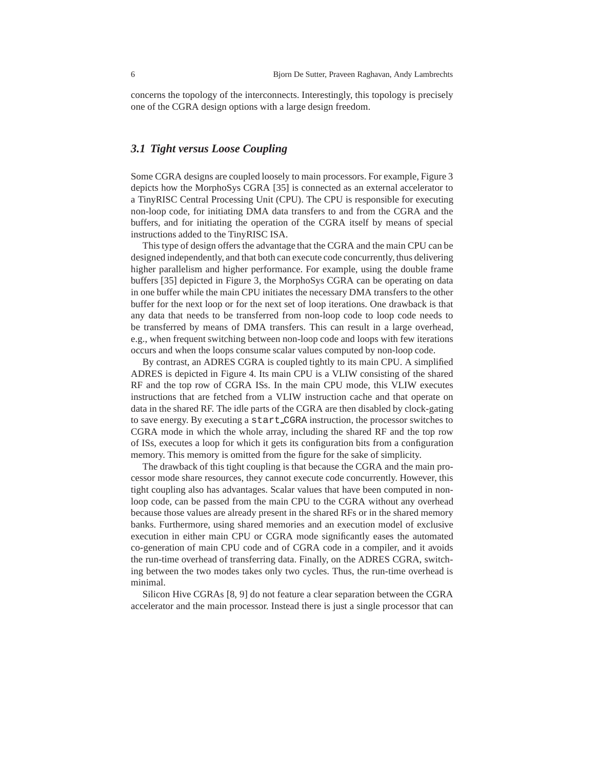concerns the topology of the interconnects. Interestingly, this topology is precisely one of the CGRA design options with a large design freedom.

# *3.1 Tight versus Loose Coupling*

Some CGRA designs are coupled loosely to main processors. For example, Figure 3 depicts how the MorphoSys CGRA [35] is connected as an external accelerator to a TinyRISC Central Processing Unit (CPU). The CPU is responsible for executing non-loop code, for initiating DMA data transfers to and from the CGRA and the buffers, and for initiating the operation of the CGRA itself by means of special instructions added to the TinyRISC ISA.

This type of design offers the advantage that the CGRA and the main CPU can be designed independently, and that both can execute code concurrently, thus delivering higher parallelism and higher performance. For example, using the double frame buffers [35] depicted in Figure 3, the MorphoSys CGRA can be operating on data in one buffer while the main CPU initiates the necessary DMA transfers to the other buffer for the next loop or for the next set of loop iterations. One drawback is that any data that needs to be transferred from non-loop code to loop code needs to be transferred by means of DMA transfers. This can result in a large overhead, e.g., when frequent switching between non-loop code and loops with few iterations occurs and when the loops consume scalar values computed by non-loop code.

By contrast, an ADRES CGRA is coupled tightly to its main CPU. A simplified ADRES is depicted in Figure 4. Its main CPU is a VLIW consisting of the shared RF and the top row of CGRA ISs. In the main CPU mode, this VLIW executes instructions that are fetched from a VLIW instruction cache and that operate on data in the shared RF. The idle parts of the CGRA are then disabled by clock-gating to save energy. By executing a start CGRA instruction, the processor switches to CGRA mode in which the whole array, including the shared RF and the top row of ISs, executes a loop for which it gets its configuration bits from a configuration memory. This memory is omitted from the figure for the sake of simplicity.

The drawback of this tight coupling is that because the CGRA and the main processor mode share resources, they cannot execute code concurrently. However, this tight coupling also has advantages. Scalar values that have been computed in nonloop code, can be passed from the main CPU to the CGRA without any overhead because those values are already present in the shared RFs or in the shared memory banks. Furthermore, using shared memories and an execution model of exclusive execution in either main CPU or CGRA mode significantly eases the automated co-generation of main CPU code and of CGRA code in a compiler, and it avoids the run-time overhead of transferring data. Finally, on the ADRES CGRA, switching between the two modes takes only two cycles. Thus, the run-time overhead is minimal.

Silicon Hive CGRAs [8, 9] do not feature a clear separation between the CGRA accelerator and the main processor. Instead there is just a single processor that can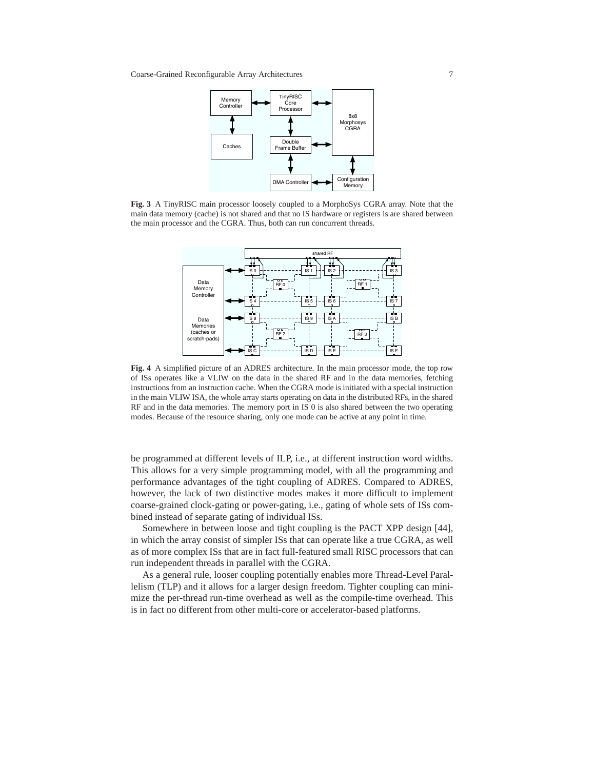

**Fig. 3** A TinyRISC main processor loosely coupled to a MorphoSys CGRA array. Note that the main data memory (cache) is not shared and that no IS hardware or registers is are shared between the main processor and the CGRA. Thus, both can run concurrent threads.



**Fig. 4** A simplified picture of an ADRES architecture. In the main processor mode, the top row of ISs operates like a VLIW on the data in the shared RF and in the data memories, fetching instructions from an instruction cache. When the CGRA mode is initiated with a special instruction in the main VLIW ISA, the whole array starts operating on data in the distributed RFs, in the shared RF and in the data memories. The memory port in IS 0 is also shared between the two operating modes. Because of the resource sharing, only one mode can be active at any point in time.

be programmed at different levels of ILP, i.e., at different instruction word widths. This allows for a very simple programming model, with all the programming and performance advantages of the tight coupling of ADRES. Compared to ADRES, however, the lack of two distinctive modes makes it more difficult to implement coarse-grained clock-gating or power-gating, i.e., gating of whole sets of ISs combined instead of separate gating of individual ISs.

Somewhere in between loose and tight coupling is the PACT XPP design [44], in which the array consist of simpler ISs that can operate like a true CGRA, as well as of more complex ISs that are in fact full-featured small RISC processors that can run independent threads in parallel with the CGRA.

As a general rule, looser coupling potentially enables more Thread-Level Parallelism (TLP) and it allows for a larger design freedom. Tighter coupling can minimize the per-thread run-time overhead as well as the compile-time overhead. This is in fact no different from other multi-core or accelerator-based platforms.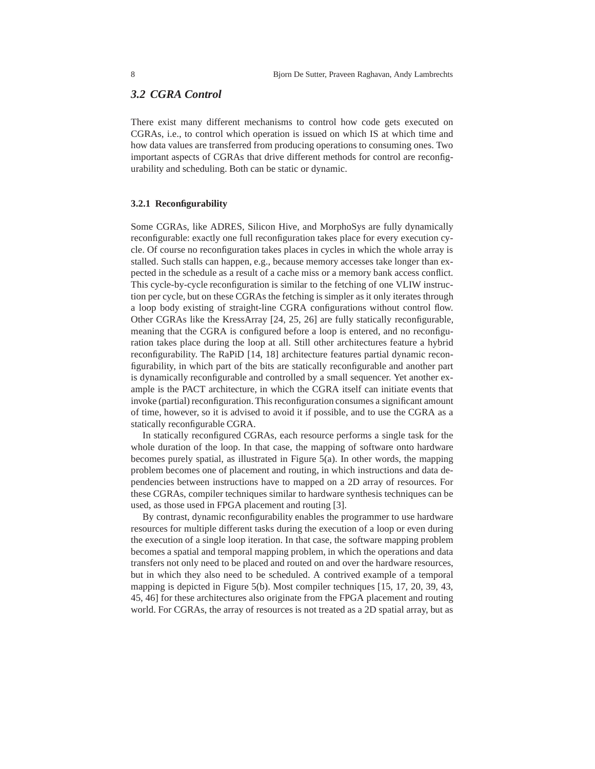## *3.2 CGRA Control*

There exist many different mechanisms to control how code gets executed on CGRAs, i.e., to control which operation is issued on which IS at which time and how data values are transferred from producing operations to consuming ones. Two important aspects of CGRAs that drive different methods for control are reconfigurability and scheduling. Both can be static or dynamic.

## **3.2.1 Reconfigurability**

Some CGRAs, like ADRES, Silicon Hive, and MorphoSys are fully dynamically reconfigurable: exactly one full reconfiguration takes place for every execution cycle. Of course no reconfiguration takes places in cycles in which the whole array is stalled. Such stalls can happen, e.g., because memory accesses take longer than expected in the schedule as a result of a cache miss or a memory bank access conflict. This cycle-by-cycle reconfiguration is similar to the fetching of one VLIW instruction per cycle, but on these CGRAs the fetching is simpler as it only iterates through a loop body existing of straight-line CGRA configurations without control flow. Other CGRAs like the KressArray [24, 25, 26] are fully statically reconfigurable, meaning that the CGRA is configured before a loop is entered, and no reconfiguration takes place during the loop at all. Still other architectures feature a hybrid reconfigurability. The RaPiD [14, 18] architecture features partial dynamic reconfigurability, in which part of the bits are statically reconfigurable and another part is dynamically reconfigurable and controlled by a small sequencer. Yet another example is the PACT architecture, in which the CGRA itself can initiate events that invoke (partial) reconfiguration. This reconfiguration consumes a significant amount of time, however, so it is advised to avoid it if possible, and to use the CGRA as a statically reconfigurable CGRA.

In statically reconfigured CGRAs, each resource performs a single task for the whole duration of the loop. In that case, the mapping of software onto hardware becomes purely spatial, as illustrated in Figure 5(a). In other words, the mapping problem becomes one of placement and routing, in which instructions and data dependencies between instructions have to mapped on a 2D array of resources. For these CGRAs, compiler techniques similar to hardware synthesis techniques can be used, as those used in FPGA placement and routing [3].

By contrast, dynamic reconfigurability enables the programmer to use hardware resources for multiple different tasks during the execution of a loop or even during the execution of a single loop iteration. In that case, the software mapping problem becomes a spatial and temporal mapping problem, in which the operations and data transfers not only need to be placed and routed on and over the hardware resources, but in which they also need to be scheduled. A contrived example of a temporal mapping is depicted in Figure 5(b). Most compiler techniques [15, 17, 20, 39, 43, 45, 46] for these architectures also originate from the FPGA placement and routing world. For CGRAs, the array of resources is not treated as a 2D spatial array, but as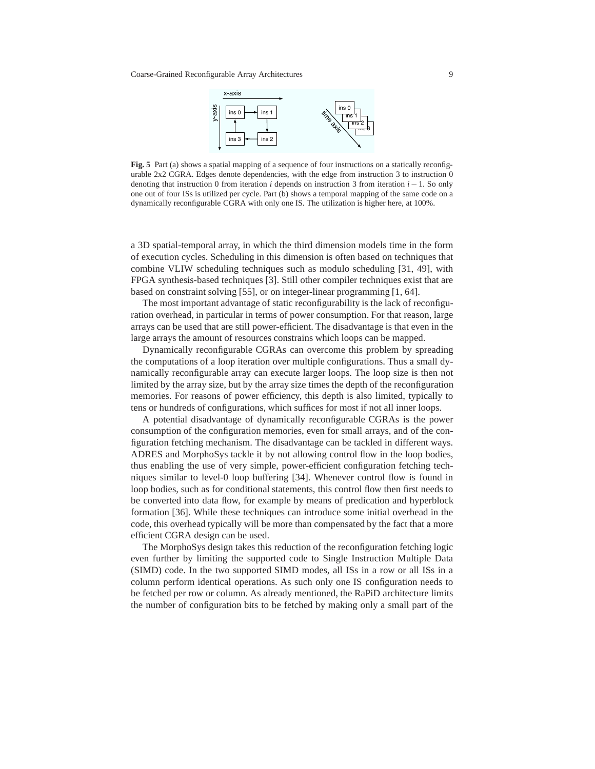

**Fig. 5** Part (a) shows a spatial mapping of a sequence of four instructions on a statically reconfigurable 2x2 CGRA. Edges denote dependencies, with the edge from instruction 3 to instruction 0 denoting that instruction 0 from iteration *i* depends on instruction 3 from iteration *i* − 1. So only one out of four ISs is utilized per cycle. Part (b) shows a temporal mapping of the same code on a dynamically reconfigurable CGRA with only one IS. The utilization is higher here, at 100%.

a 3D spatial-temporal array, in which the third dimension models time in the form of execution cycles. Scheduling in this dimension is often based on techniques that combine VLIW scheduling techniques such as modulo scheduling [31, 49], with FPGA synthesis-based techniques [3]. Still other compiler techniques exist that are based on constraint solving [55], or on integer-linear programming [1, 64].

The most important advantage of static reconfigurability is the lack of reconfiguration overhead, in particular in terms of power consumption. For that reason, large arrays can be used that are still power-efficient. The disadvantage is that even in the large arrays the amount of resources constrains which loops can be mapped.

Dynamically reconfigurable CGRAs can overcome this problem by spreading the computations of a loop iteration over multiple configurations. Thus a small dynamically reconfigurable array can execute larger loops. The loop size is then not limited by the array size, but by the array size times the depth of the reconfiguration memories. For reasons of power efficiency, this depth is also limited, typically to tens or hundreds of configurations, which suffices for most if not all inner loops.

A potential disadvantage of dynamically reconfigurable CGRAs is the power consumption of the configuration memories, even for small arrays, and of the configuration fetching mechanism. The disadvantage can be tackled in different ways. ADRES and MorphoSys tackle it by not allowing control flow in the loop bodies, thus enabling the use of very simple, power-efficient configuration fetching techniques similar to level-0 loop buffering [34]. Whenever control flow is found in loop bodies, such as for conditional statements, this control flow then first needs to be converted into data flow, for example by means of predication and hyperblock formation [36]. While these techniques can introduce some initial overhead in the code, this overhead typically will be more than compensated by the fact that a more efficient CGRA design can be used.

The MorphoSys design takes this reduction of the reconfiguration fetching logic even further by limiting the supported code to Single Instruction Multiple Data (SIMD) code. In the two supported SIMD modes, all ISs in a row or all ISs in a column perform identical operations. As such only one IS configuration needs to be fetched per row or column. As already mentioned, the RaPiD architecture limits the number of configuration bits to be fetched by making only a small part of the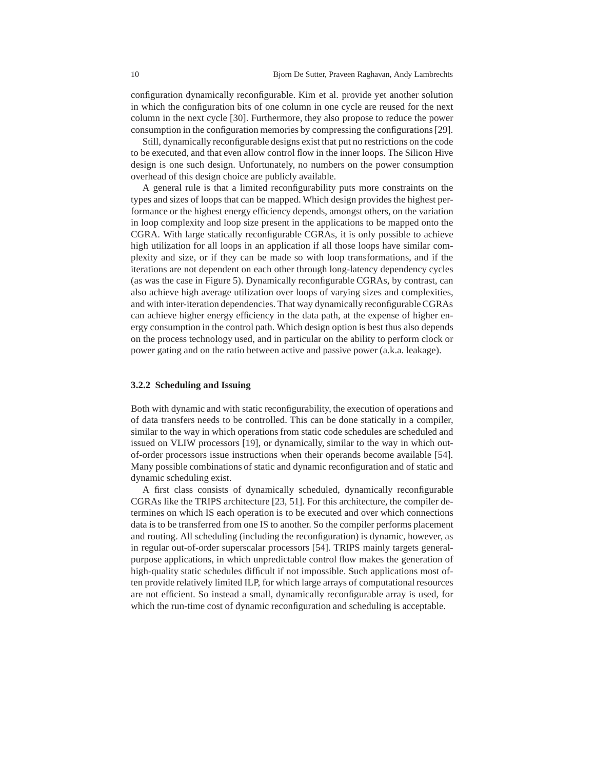configuration dynamically reconfigurable. Kim et al. provide yet another solution in which the configuration bits of one column in one cycle are reused for the next column in the next cycle [30]. Furthermore, they also propose to reduce the power consumption in the configuration memories by compressing the configurations [29].

Still, dynamically reconfigurable designs exist that put no restrictions on the code to be executed, and that even allow control flow in the inner loops. The Silicon Hive design is one such design. Unfortunately, no numbers on the power consumption overhead of this design choice are publicly available.

A general rule is that a limited reconfigurability puts more constraints on the types and sizes of loops that can be mapped. Which design provides the highest performance or the highest energy efficiency depends, amongst others, on the variation in loop complexity and loop size present in the applications to be mapped onto the CGRA. With large statically reconfigurable CGRAs, it is only possible to achieve high utilization for all loops in an application if all those loops have similar complexity and size, or if they can be made so with loop transformations, and if the iterations are not dependent on each other through long-latency dependency cycles (as was the case in Figure 5). Dynamically reconfigurable CGRAs, by contrast, can also achieve high average utilization over loops of varying sizes and complexities, and with inter-iteration dependencies. That way dynamically reconfigurable CGRAs can achieve higher energy efficiency in the data path, at the expense of higher energy consumption in the control path. Which design option is best thus also depends on the process technology used, and in particular on the ability to perform clock or power gating and on the ratio between active and passive power (a.k.a. leakage).

## **3.2.2 Scheduling and Issuing**

Both with dynamic and with static reconfigurability, the execution of operations and of data transfers needs to be controlled. This can be done statically in a compiler, similar to the way in which operations from static code schedules are scheduled and issued on VLIW processors [19], or dynamically, similar to the way in which outof-order processors issue instructions when their operands become available [54]. Many possible combinations of static and dynamic reconfiguration and of static and dynamic scheduling exist.

A first class consists of dynamically scheduled, dynamically reconfigurable CGRAs like the TRIPS architecture [23, 51]. For this architecture, the compiler determines on which IS each operation is to be executed and over which connections data is to be transferred from one IS to another. So the compiler performs placement and routing. All scheduling (including the reconfiguration) is dynamic, however, as in regular out-of-order superscalar processors [54]. TRIPS mainly targets generalpurpose applications, in which unpredictable control flow makes the generation of high-quality static schedules difficult if not impossible. Such applications most often provide relatively limited ILP, for which large arrays of computational resources are not efficient. So instead a small, dynamically reconfigurable array is used, for which the run-time cost of dynamic reconfiguration and scheduling is acceptable.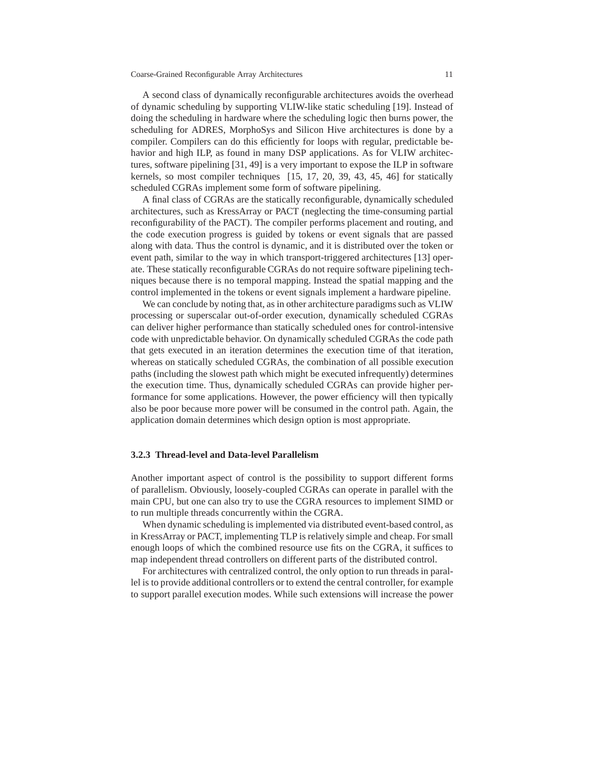#### Coarse-Grained Reconfigurable Array Architectures 11

A second class of dynamically reconfigurable architectures avoids the overhead of dynamic scheduling by supporting VLIW-like static scheduling [19]. Instead of doing the scheduling in hardware where the scheduling logic then burns power, the scheduling for ADRES, MorphoSys and Silicon Hive architectures is done by a compiler. Compilers can do this efficiently for loops with regular, predictable behavior and high ILP, as found in many DSP applications. As for VLIW architectures, software pipelining [31, 49] is a very important to expose the ILP in software kernels, so most compiler techniques [15, 17, 20, 39, 43, 45, 46] for statically scheduled CGRAs implement some form of software pipelining.

A final class of CGRAs are the statically reconfigurable, dynamically scheduled architectures, such as KressArray or PACT (neglecting the time-consuming partial reconfigurability of the PACT). The compiler performs placement and routing, and the code execution progress is guided by tokens or event signals that are passed along with data. Thus the control is dynamic, and it is distributed over the token or event path, similar to the way in which transport-triggered architectures [13] operate. These statically reconfigurable CGRAs do not require software pipelining techniques because there is no temporal mapping. Instead the spatial mapping and the control implemented in the tokens or event signals implement a hardware pipeline.

We can conclude by noting that, as in other architecture paradigms such as VLIW processing or superscalar out-of-order execution, dynamically scheduled CGRAs can deliver higher performance than statically scheduled ones for control-intensive code with unpredictable behavior. On dynamically scheduled CGRAs the code path that gets executed in an iteration determines the execution time of that iteration, whereas on statically scheduled CGRAs, the combination of all possible execution paths (including the slowest path which might be executed infrequently) determines the execution time. Thus, dynamically scheduled CGRAs can provide higher performance for some applications. However, the power efficiency will then typically also be poor because more power will be consumed in the control path. Again, the application domain determines which design option is most appropriate.

## **3.2.3 Thread-level and Data-level Parallelism**

Another important aspect of control is the possibility to support different forms of parallelism. Obviously, loosely-coupled CGRAs can operate in parallel with the main CPU, but one can also try to use the CGRA resources to implement SIMD or to run multiple threads concurrently within the CGRA.

When dynamic scheduling is implemented via distributed event-based control, as in KressArray or PACT, implementing TLP is relatively simple and cheap. For small enough loops of which the combined resource use fits on the CGRA, it suffices to map independent thread controllers on different parts of the distributed control.

For architectures with centralized control, the only option to run threads in parallel is to provide additional controllers or to extend the central controller, for example to support parallel execution modes. While such extensions will increase the power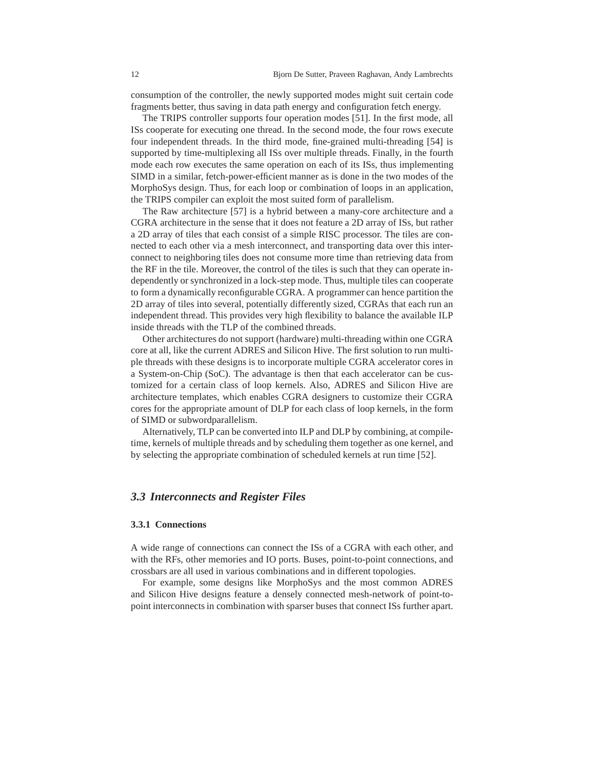consumption of the controller, the newly supported modes might suit certain code fragments better, thus saving in data path energy and configuration fetch energy.

The TRIPS controller supports four operation modes [51]. In the first mode, all ISs cooperate for executing one thread. In the second mode, the four rows execute four independent threads. In the third mode, fine-grained multi-threading [54] is supported by time-multiplexing all ISs over multiple threads. Finally, in the fourth mode each row executes the same operation on each of its ISs, thus implementing SIMD in a similar, fetch-power-efficient manner as is done in the two modes of the MorphoSys design. Thus, for each loop or combination of loops in an application, the TRIPS compiler can exploit the most suited form of parallelism.

The Raw architecture [57] is a hybrid between a many-core architecture and a CGRA architecture in the sense that it does not feature a 2D array of ISs, but rather a 2D array of tiles that each consist of a simple RISC processor. The tiles are connected to each other via a mesh interconnect, and transporting data over this interconnect to neighboring tiles does not consume more time than retrieving data from the RF in the tile. Moreover, the control of the tiles is such that they can operate independently or synchronized in a lock-step mode. Thus, multiple tiles can cooperate to form a dynamically reconfigurable CGRA. A programmer can hence partition the 2D array of tiles into several, potentially differently sized, CGRAs that each run an independent thread. This provides very high flexibility to balance the available ILP inside threads with the TLP of the combined threads.

Other architectures do not support (hardware) multi-threading within one CGRA core at all, like the current ADRES and Silicon Hive. The first solution to run multiple threads with these designs is to incorporate multiple CGRA accelerator cores in a System-on-Chip (SoC). The advantage is then that each accelerator can be customized for a certain class of loop kernels. Also, ADRES and Silicon Hive are architecture templates, which enables CGRA designers to customize their CGRA cores for the appropriate amount of DLP for each class of loop kernels, in the form of SIMD or subwordparallelism.

Alternatively, TLP can be converted into ILP and DLP by combining, at compiletime, kernels of multiple threads and by scheduling them together as one kernel, and by selecting the appropriate combination of scheduled kernels at run time [52].

## *3.3 Interconnects and Register Files*

#### **3.3.1 Connections**

A wide range of connections can connect the ISs of a CGRA with each other, and with the RFs, other memories and IO ports. Buses, point-to-point connections, and crossbars are all used in various combinations and in different topologies.

For example, some designs like MorphoSys and the most common ADRES and Silicon Hive designs feature a densely connected mesh-network of point-topoint interconnects in combination with sparser buses that connect ISs further apart.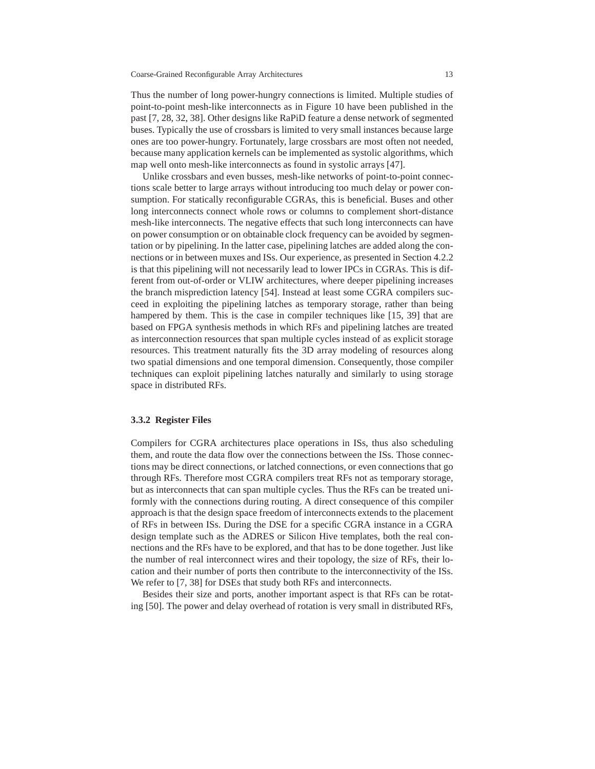Thus the number of long power-hungry connections is limited. Multiple studies of point-to-point mesh-like interconnects as in Figure 10 have been published in the past [7, 28, 32, 38]. Other designs like RaPiD feature a dense network of segmented buses. Typically the use of crossbars is limited to very small instances because large ones are too power-hungry. Fortunately, large crossbars are most often not needed, because many application kernels can be implemented as systolic algorithms, which map well onto mesh-like interconnects as found in systolic arrays [47].

Unlike crossbars and even busses, mesh-like networks of point-to-point connections scale better to large arrays without introducing too much delay or power consumption. For statically reconfigurable CGRAs, this is beneficial. Buses and other long interconnects connect whole rows or columns to complement short-distance mesh-like interconnects. The negative effects that such long interconnects can have on power consumption or on obtainable clock frequency can be avoided by segmentation or by pipelining. In the latter case, pipelining latches are added along the connections or in between muxes and ISs. Our experience, as presented in Section 4.2.2 is that this pipelining will not necessarily lead to lower IPCs in CGRAs. This is different from out-of-order or VLIW architectures, where deeper pipelining increases the branch misprediction latency [54]. Instead at least some CGRA compilers succeed in exploiting the pipelining latches as temporary storage, rather than being hampered by them. This is the case in compiler techniques like [15, 39] that are based on FPGA synthesis methods in which RFs and pipelining latches are treated as interconnection resources that span multiple cycles instead of as explicit storage resources. This treatment naturally fits the 3D array modeling of resources along two spatial dimensions and one temporal dimension. Consequently, those compiler techniques can exploit pipelining latches naturally and similarly to using storage space in distributed RFs.

## **3.3.2 Register Files**

Compilers for CGRA architectures place operations in ISs, thus also scheduling them, and route the data flow over the connections between the ISs. Those connections may be direct connections, or latched connections, or even connections that go through RFs. Therefore most CGRA compilers treat RFs not as temporary storage, but as interconnects that can span multiple cycles. Thus the RFs can be treated uniformly with the connections during routing. A direct consequence of this compiler approach is that the design space freedom of interconnects extends to the placement of RFs in between ISs. During the DSE for a specific CGRA instance in a CGRA design template such as the ADRES or Silicon Hive templates, both the real connections and the RFs have to be explored, and that has to be done together. Just like the number of real interconnect wires and their topology, the size of RFs, their location and their number of ports then contribute to the interconnectivity of the ISs. We refer to [7, 38] for DSEs that study both RFs and interconnects.

Besides their size and ports, another important aspect is that RFs can be rotating [50]. The power and delay overhead of rotation is very small in distributed RFs,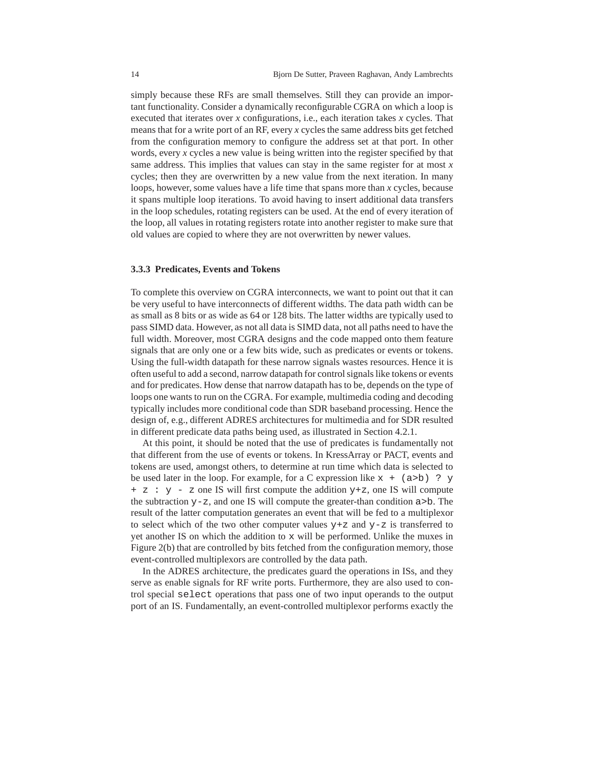simply because these RFs are small themselves. Still they can provide an important functionality. Consider a dynamically reconfigurable CGRA on which a loop is executed that iterates over *x* configurations, i.e., each iteration takes *x* cycles. That means that for a write port of an RF, every *x* cycles the same address bits get fetched from the configuration memory to configure the address set at that port. In other words, every *x* cycles a new value is being written into the register specified by that same address. This implies that values can stay in the same register for at most *x* cycles; then they are overwritten by a new value from the next iteration. In many loops, however, some values have a life time that spans more than *x* cycles, because it spans multiple loop iterations. To avoid having to insert additional data transfers in the loop schedules, rotating registers can be used. At the end of every iteration of the loop, all values in rotating registers rotate into another register to make sure that old values are copied to where they are not overwritten by newer values.

### **3.3.3 Predicates, Events and Tokens**

To complete this overview on CGRA interconnects, we want to point out that it can be very useful to have interconnects of different widths. The data path width can be as small as 8 bits or as wide as 64 or 128 bits. The latter widths are typically used to pass SIMD data. However, as not all data is SIMD data, not all paths need to have the full width. Moreover, most CGRA designs and the code mapped onto them feature signals that are only one or a few bits wide, such as predicates or events or tokens. Using the full-width datapath for these narrow signals wastes resources. Hence it is often useful to add a second, narrow datapath for control signals like tokens or events and for predicates. How dense that narrow datapath has to be, depends on the type of loops one wants to run on the CGRA. For example, multimedia coding and decoding typically includes more conditional code than SDR baseband processing. Hence the design of, e.g., different ADRES architectures for multimedia and for SDR resulted in different predicate data paths being used, as illustrated in Section 4.2.1.

At this point, it should be noted that the use of predicates is fundamentally not that different from the use of events or tokens. In KressArray or PACT, events and tokens are used, amongst others, to determine at run time which data is selected to be used later in the loop. For example, for a C expression like  $x + (a>b)$  ? y  $+ z : y - z$  one IS will first compute the addition  $y + z$ , one IS will compute the subtraction  $y-z$ , and one IS will compute the greater-than condition  $a>b$ . The result of the latter computation generates an event that will be fed to a multiplexor to select which of the two other computer values  $y+z$  and  $y-z$  is transferred to yet another IS on which the addition to x will be performed. Unlike the muxes in Figure 2(b) that are controlled by bits fetched from the configuration memory, those event-controlled multiplexors are controlled by the data path.

In the ADRES architecture, the predicates guard the operations in ISs, and they serve as enable signals for RF write ports. Furthermore, they are also used to control special select operations that pass one of two input operands to the output port of an IS. Fundamentally, an event-controlled multiplexor performs exactly the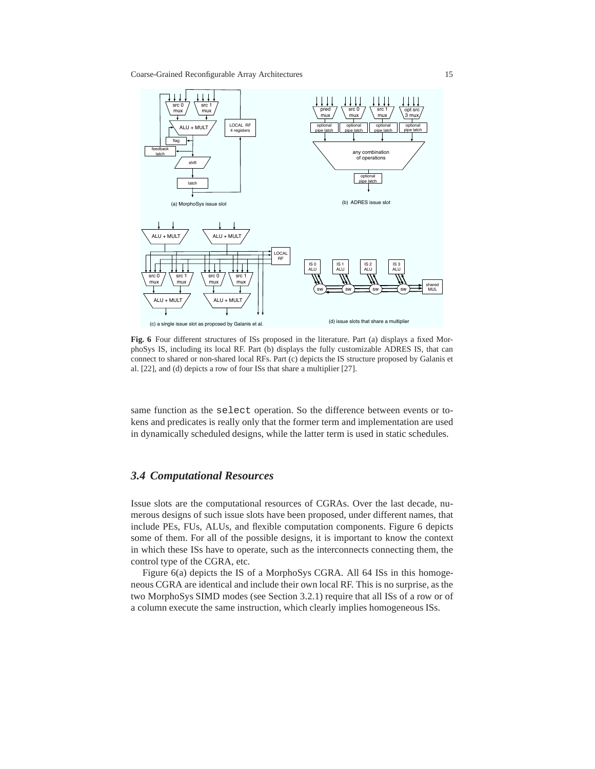Coarse-Grained Reconfigurable Array Architectures 15



**Fig. 6** Four different structures of ISs proposed in the literature. Part (a) displays a fixed MorphoSys IS, including its local RF. Part (b) displays the fully customizable ADRES IS, that can connect to shared or non-shared local RFs. Part (c) depicts the IS structure proposed by Galanis et al. [22], and (d) depicts a row of four ISs that share a multiplier [27].

same function as the select operation. So the difference between events or tokens and predicates is really only that the former term and implementation are used in dynamically scheduled designs, while the latter term is used in static schedules.

# *3.4 Computational Resources*

Issue slots are the computational resources of CGRAs. Over the last decade, numerous designs of such issue slots have been proposed, under different names, that include PEs, FUs, ALUs, and flexible computation components. Figure 6 depicts some of them. For all of the possible designs, it is important to know the context in which these ISs have to operate, such as the interconnects connecting them, the control type of the CGRA, etc.

Figure 6(a) depicts the IS of a MorphoSys CGRA. All 64 ISs in this homogeneous CGRA are identical and include their own local RF. This is no surprise, as the two MorphoSys SIMD modes (see Section 3.2.1) require that all ISs of a row or of a column execute the same instruction, which clearly implies homogeneous ISs.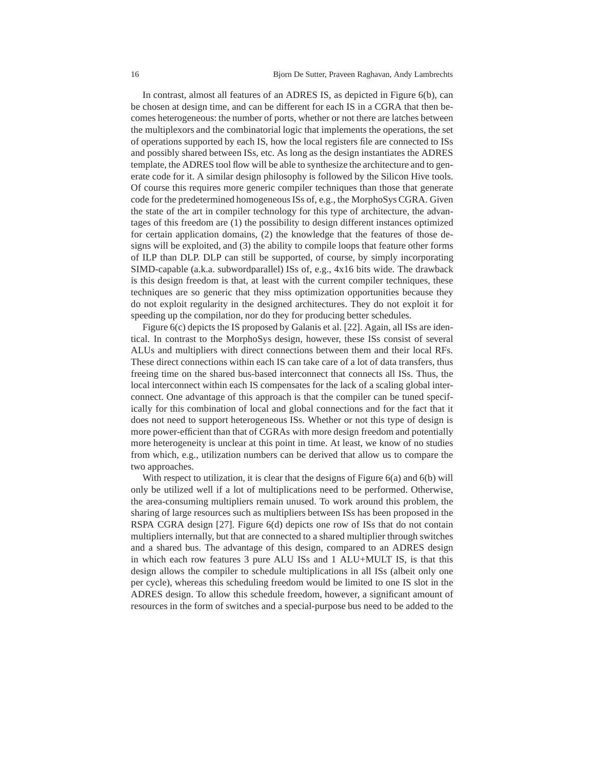In contrast, almost all features of an ADRES IS, as depicted in Figure 6(b), can be chosen at design time, and can be different for each IS in a CGRA that then becomes heterogeneous: the number of ports, whether or not there are latches between the multiplexors and the combinatorial logic that implements the operations, the set of operations supported by each IS, how the local registers file are connected to ISs and possibly shared between ISs, etc. As long as the design instantiates the ADRES template, the ADRES tool flow will be able to synthesize the architecture and to generate code for it. A similar design philosophy is followed by the Silicon Hive tools. Of course this requires more generic compiler techniques than those that generate code for the predetermined homogeneous ISs of, e.g., the MorphoSys CGRA. Given the state of the art in compiler technology for this type of architecture, the advantages of this freedom are (1) the possibility to design different instances optimized for certain application domains, (2) the knowledge that the features of those designs will be exploited, and (3) the ability to compile loops that feature other forms of ILP than DLP. DLP can still be supported, of course, by simply incorporating SIMD-capable (a.k.a. subwordparallel) ISs of, e.g., 4x16 bits wide. The drawback is this design freedom is that, at least with the current compiler techniques, these techniques are so generic that they miss optimization opportunities because they do not exploit regularity in the designed architectures. They do not exploit it for speeding up the compilation, nor do they for producing better schedules.

Figure 6(c) depicts the IS proposed by Galanis et al. [22]. Again, all ISs are identical. In contrast to the MorphoSys design, however, these ISs consist of several ALUs and multipliers with direct connections between them and their local RFs. These direct connections within each IS can take care of a lot of data transfers, thus freeing time on the shared bus-based interconnect that connects all ISs. Thus, the local interconnect within each IS compensates for the lack of a scaling global interconnect. One advantage of this approach is that the compiler can be tuned specifically for this combination of local and global connections and for the fact that it does not need to support heterogeneous ISs. Whether or not this type of design is more power-efficient than that of CGRAs with more design freedom and potentially more heterogeneity is unclear at this point in time. At least, we know of no studies from which, e.g., utilization numbers can be derived that allow us to compare the two approaches.

With respect to utilization, it is clear that the designs of Figure 6(a) and 6(b) will only be utilized well if a lot of multiplications need to be performed. Otherwise, the area-consuming multipliers remain unused. To work around this problem, the sharing of large resources such as multipliers between ISs has been proposed in the RSPA CGRA design [27]. Figure 6(d) depicts one row of ISs that do not contain multipliers internally, but that are connected to a shared multiplier through switches and a shared bus. The advantage of this design, compared to an ADRES design in which each row features 3 pure ALU ISs and 1 ALU+MULT IS, is that this design allows the compiler to schedule multiplications in all ISs (albeit only one per cycle), whereas this scheduling freedom would be limited to one IS slot in the ADRES design. To allow this schedule freedom, however, a significant amount of resources in the form of switches and a special-purpose bus need to be added to the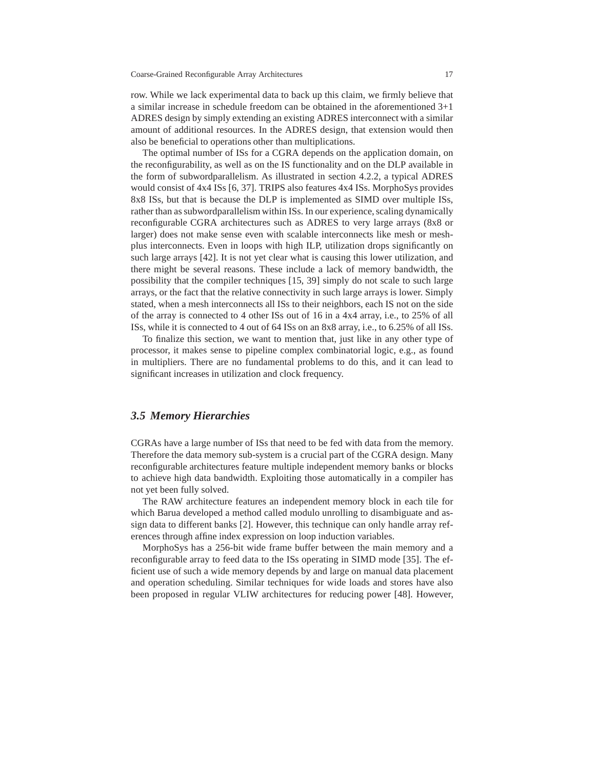row. While we lack experimental data to back up this claim, we firmly believe that a similar increase in schedule freedom can be obtained in the aforementioned 3+1 ADRES design by simply extending an existing ADRES interconnect with a similar amount of additional resources. In the ADRES design, that extension would then also be beneficial to operations other than multiplications.

The optimal number of ISs for a CGRA depends on the application domain, on the reconfigurability, as well as on the IS functionality and on the DLP available in the form of subwordparallelism. As illustrated in section 4.2.2, a typical ADRES would consist of 4x4 ISs [6, 37]. TRIPS also features 4x4 ISs. MorphoSys provides 8x8 ISs, but that is because the DLP is implemented as SIMD over multiple ISs, rather than as subwordparallelism within ISs. In our experience, scaling dynamically reconfigurable CGRA architectures such as ADRES to very large arrays (8x8 or larger) does not make sense even with scalable interconnects like mesh or meshplus interconnects. Even in loops with high ILP, utilization drops significantly on such large arrays [42]. It is not yet clear what is causing this lower utilization, and there might be several reasons. These include a lack of memory bandwidth, the possibility that the compiler techniques [15, 39] simply do not scale to such large arrays, or the fact that the relative connectivity in such large arrays is lower. Simply stated, when a mesh interconnects all ISs to their neighbors, each IS not on the side of the array is connected to 4 other ISs out of 16 in a 4x4 array, i.e., to 25% of all ISs, while it is connected to 4 out of 64 ISs on an 8x8 array, i.e., to 6.25% of all ISs.

To finalize this section, we want to mention that, just like in any other type of processor, it makes sense to pipeline complex combinatorial logic, e.g., as found in multipliers. There are no fundamental problems to do this, and it can lead to significant increases in utilization and clock frequency.

## *3.5 Memory Hierarchies*

CGRAs have a large number of ISs that need to be fed with data from the memory. Therefore the data memory sub-system is a crucial part of the CGRA design. Many reconfigurable architectures feature multiple independent memory banks or blocks to achieve high data bandwidth. Exploiting those automatically in a compiler has not yet been fully solved.

The RAW architecture features an independent memory block in each tile for which Barua developed a method called modulo unrolling to disambiguate and assign data to different banks [2]. However, this technique can only handle array references through affine index expression on loop induction variables.

MorphoSys has a 256-bit wide frame buffer between the main memory and a reconfigurable array to feed data to the ISs operating in SIMD mode [35]. The efficient use of such a wide memory depends by and large on manual data placement and operation scheduling. Similar techniques for wide loads and stores have also been proposed in regular VLIW architectures for reducing power [48]. However,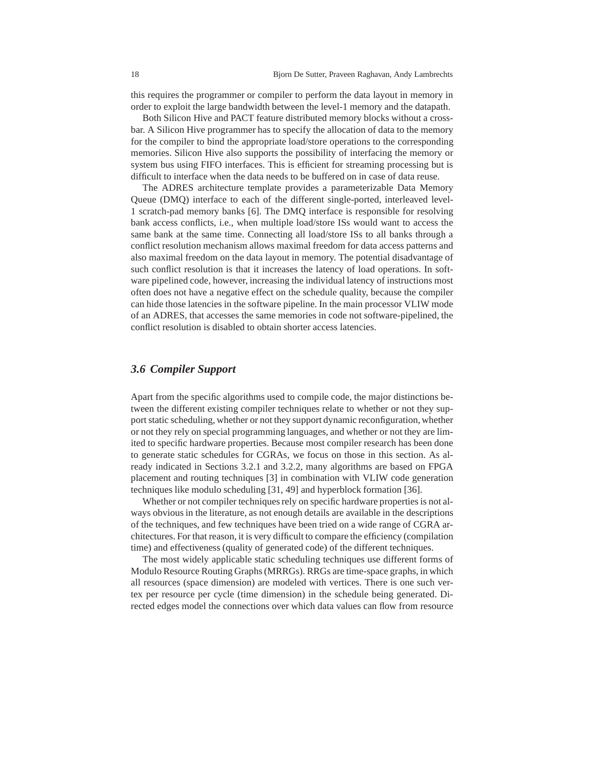this requires the programmer or compiler to perform the data layout in memory in order to exploit the large bandwidth between the level-1 memory and the datapath.

Both Silicon Hive and PACT feature distributed memory blocks without a crossbar. A Silicon Hive programmer has to specify the allocation of data to the memory for the compiler to bind the appropriate load/store operations to the corresponding memories. Silicon Hive also supports the possibility of interfacing the memory or system bus using FIFO interfaces. This is efficient for streaming processing but is difficult to interface when the data needs to be buffered on in case of data reuse.

The ADRES architecture template provides a parameterizable Data Memory Queue (DMQ) interface to each of the different single-ported, interleaved level-1 scratch-pad memory banks [6]. The DMQ interface is responsible for resolving bank access conflicts, i.e., when multiple load/store ISs would want to access the same bank at the same time. Connecting all load/store ISs to all banks through a conflict resolution mechanism allows maximal freedom for data access patterns and also maximal freedom on the data layout in memory. The potential disadvantage of such conflict resolution is that it increases the latency of load operations. In software pipelined code, however, increasing the individual latency of instructions most often does not have a negative effect on the schedule quality, because the compiler can hide those latencies in the software pipeline. In the main processor VLIW mode of an ADRES, that accesses the same memories in code not software-pipelined, the conflict resolution is disabled to obtain shorter access latencies.

# *3.6 Compiler Support*

Apart from the specific algorithms used to compile code, the major distinctions between the different existing compiler techniques relate to whether or not they support static scheduling, whether or not they support dynamic reconfiguration, whether or not they rely on special programming languages, and whether or not they are limited to specific hardware properties. Because most compiler research has been done to generate static schedules for CGRAs, we focus on those in this section. As already indicated in Sections 3.2.1 and 3.2.2, many algorithms are based on FPGA placement and routing techniques [3] in combination with VLIW code generation techniques like modulo scheduling [31, 49] and hyperblock formation [36].

Whether or not compiler techniques rely on specific hardware properties is not always obvious in the literature, as not enough details are available in the descriptions of the techniques, and few techniques have been tried on a wide range of CGRA architectures. For that reason, it is very difficult to compare the efficiency (compilation time) and effectiveness (quality of generated code) of the different techniques.

The most widely applicable static scheduling techniques use different forms of Modulo Resource Routing Graphs (MRRGs). RRGs are time-space graphs, in which all resources (space dimension) are modeled with vertices. There is one such vertex per resource per cycle (time dimension) in the schedule being generated. Directed edges model the connections over which data values can flow from resource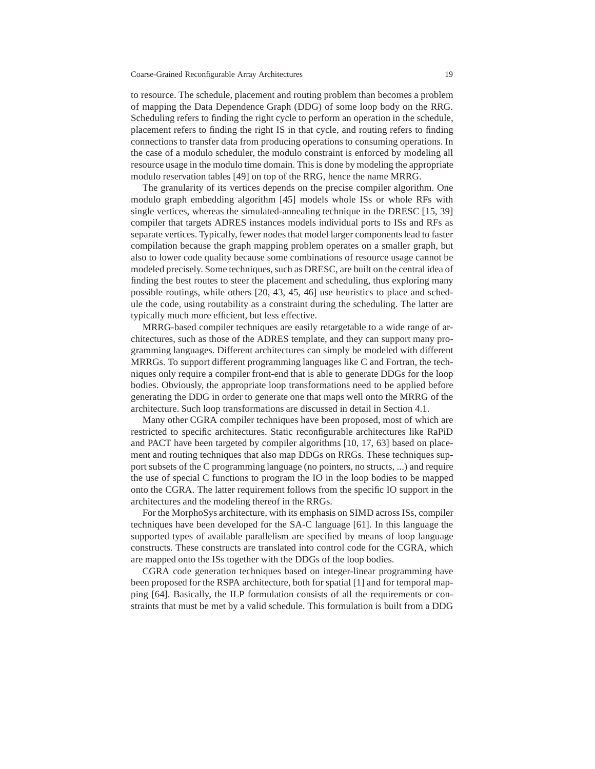to resource. The schedule, placement and routing problem than becomes a problem of mapping the Data Dependence Graph (DDG) of some loop body on the RRG. Scheduling refers to finding the right cycle to perform an operation in the schedule, placement refers to finding the right IS in that cycle, and routing refers to finding connections to transfer data from producing operations to consuming operations. In the case of a modulo scheduler, the modulo constraint is enforced by modeling all resource usage in the modulo time domain. This is done by modeling the appropriate modulo reservation tables [49] on top of the RRG, hence the name MRRG.

The granularity of its vertices depends on the precise compiler algorithm. One modulo graph embedding algorithm [45] models whole ISs or whole RFs with single vertices, whereas the simulated-annealing technique in the DRESC [15, 39] compiler that targets ADRES instances models individual ports to ISs and RFs as separate vertices. Typically, fewer nodes that model larger components lead to faster compilation because the graph mapping problem operates on a smaller graph, but also to lower code quality because some combinations of resource usage cannot be modeled precisely. Some techniques, such as DRESC, are built on the central idea of finding the best routes to steer the placement and scheduling, thus exploring many possible routings, while others [20, 43, 45, 46] use heuristics to place and schedule the code, using routability as a constraint during the scheduling. The latter are typically much more efficient, but less effective.

MRRG-based compiler techniques are easily retargetable to a wide range of architectures, such as those of the ADRES template, and they can support many programming languages. Different architectures can simply be modeled with different MRRGs. To support different programming languages like C and Fortran, the techniques only require a compiler front-end that is able to generate DDGs for the loop bodies. Obviously, the appropriate loop transformations need to be applied before generating the DDG in order to generate one that maps well onto the MRRG of the architecture. Such loop transformations are discussed in detail in Section 4.1.

Many other CGRA compiler techniques have been proposed, most of which are restricted to specific architectures. Static reconfigurable architectures like RaPiD and PACT have been targeted by compiler algorithms [10, 17, 63] based on placement and routing techniques that also map DDGs on RRGs. These techniques support subsets of the C programming language (no pointers, no structs, ...) and require the use of special C functions to program the IO in the loop bodies to be mapped onto the CGRA. The latter requirement follows from the specific IO support in the architectures and the modeling thereof in the RRGs.

For the MorphoSys architecture, with its emphasis on SIMD across ISs, compiler techniques have been developed for the SA-C language [61]. In this language the supported types of available parallelism are specified by means of loop language constructs. These constructs are translated into control code for the CGRA, which are mapped onto the ISs together with the DDGs of the loop bodies.

CGRA code generation techniques based on integer-linear programming have been proposed for the RSPA architecture, both for spatial [1] and for temporal mapping [64]. Basically, the ILP formulation consists of all the requirements or constraints that must be met by a valid schedule. This formulation is built from a DDG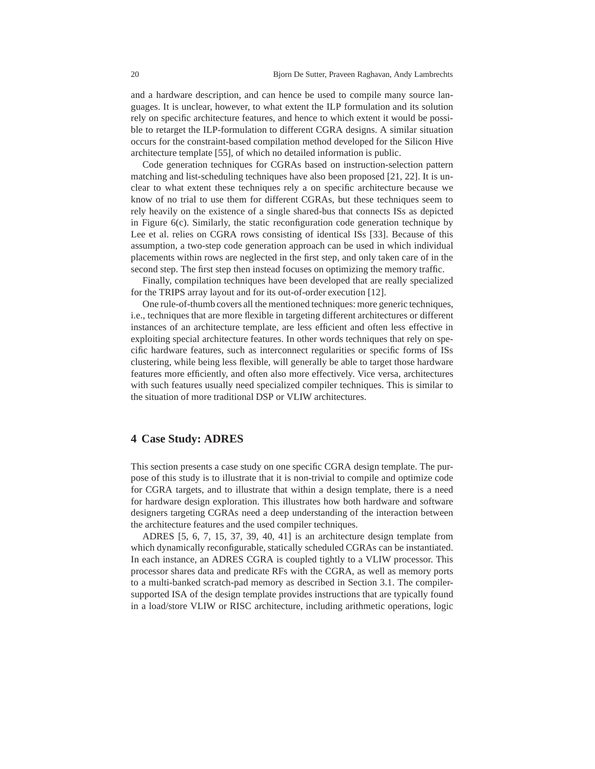and a hardware description, and can hence be used to compile many source languages. It is unclear, however, to what extent the ILP formulation and its solution rely on specific architecture features, and hence to which extent it would be possible to retarget the ILP-formulation to different CGRA designs. A similar situation occurs for the constraint-based compilation method developed for the Silicon Hive architecture template [55], of which no detailed information is public.

Code generation techniques for CGRAs based on instruction-selection pattern matching and list-scheduling techniques have also been proposed [21, 22]. It is unclear to what extent these techniques rely a on specific architecture because we know of no trial to use them for different CGRAs, but these techniques seem to rely heavily on the existence of a single shared-bus that connects ISs as depicted in Figure  $6(c)$ . Similarly, the static reconfiguration code generation technique by Lee et al. relies on CGRA rows consisting of identical ISs [33]. Because of this assumption, a two-step code generation approach can be used in which individual placements within rows are neglected in the first step, and only taken care of in the second step. The first step then instead focuses on optimizing the memory traffic.

Finally, compilation techniques have been developed that are really specialized for the TRIPS array layout and for its out-of-order execution [12].

One rule-of-thumb covers all the mentioned techniques: more generic techniques, i.e., techniques that are more flexible in targeting different architectures or different instances of an architecture template, are less efficient and often less effective in exploiting special architecture features. In other words techniques that rely on specific hardware features, such as interconnect regularities or specific forms of ISs clustering, while being less flexible, will generally be able to target those hardware features more efficiently, and often also more effectively. Vice versa, architectures with such features usually need specialized compiler techniques. This is similar to the situation of more traditional DSP or VLIW architectures.

## **4 Case Study: ADRES**

This section presents a case study on one specific CGRA design template. The purpose of this study is to illustrate that it is non-trivial to compile and optimize code for CGRA targets, and to illustrate that within a design template, there is a need for hardware design exploration. This illustrates how both hardware and software designers targeting CGRAs need a deep understanding of the interaction between the architecture features and the used compiler techniques.

ADRES [5, 6, 7, 15, 37, 39, 40, 41] is an architecture design template from which dynamically reconfigurable, statically scheduled CGRAs can be instantiated. In each instance, an ADRES CGRA is coupled tightly to a VLIW processor. This processor shares data and predicate RFs with the CGRA, as well as memory ports to a multi-banked scratch-pad memory as described in Section 3.1. The compilersupported ISA of the design template provides instructions that are typically found in a load/store VLIW or RISC architecture, including arithmetic operations, logic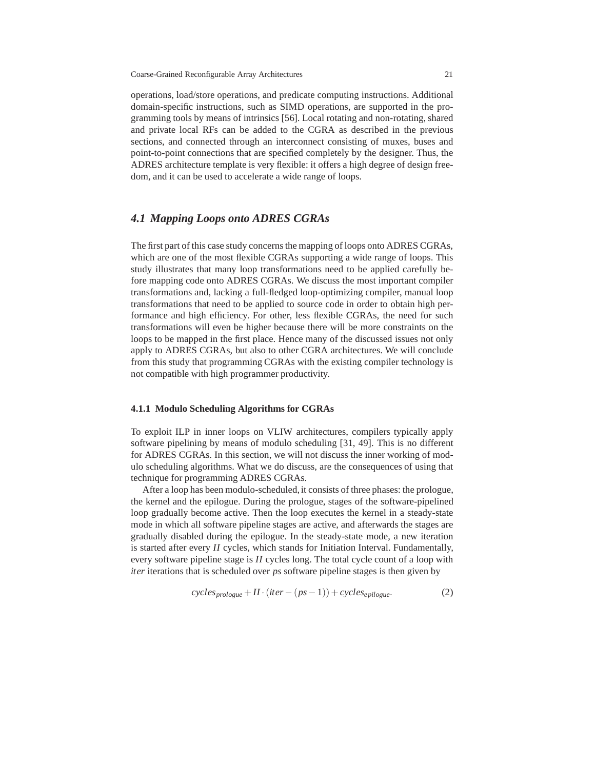operations, load/store operations, and predicate computing instructions. Additional domain-specific instructions, such as SIMD operations, are supported in the programming tools by means of intrinsics [56]. Local rotating and non-rotating, shared and private local RFs can be added to the CGRA as described in the previous sections, and connected through an interconnect consisting of muxes, buses and point-to-point connections that are specified completely by the designer. Thus, the ADRES architecture template is very flexible: it offers a high degree of design freedom, and it can be used to accelerate a wide range of loops.

# *4.1 Mapping Loops onto ADRES CGRAs*

The first part of this case study concerns the mapping of loops onto ADRES CGRAs, which are one of the most flexible CGRAs supporting a wide range of loops. This study illustrates that many loop transformations need to be applied carefully before mapping code onto ADRES CGRAs. We discuss the most important compiler transformations and, lacking a full-fledged loop-optimizing compiler, manual loop transformations that need to be applied to source code in order to obtain high performance and high efficiency. For other, less flexible CGRAs, the need for such transformations will even be higher because there will be more constraints on the loops to be mapped in the first place. Hence many of the discussed issues not only apply to ADRES CGRAs, but also to other CGRA architectures. We will conclude from this study that programming CGRAs with the existing compiler technology is not compatible with high programmer productivity.

## **4.1.1 Modulo Scheduling Algorithms for CGRAs**

To exploit ILP in inner loops on VLIW architectures, compilers typically apply software pipelining by means of modulo scheduling [31, 49]. This is no different for ADRES CGRAs. In this section, we will not discuss the inner working of modulo scheduling algorithms. What we do discuss, are the consequences of using that technique for programming ADRES CGRAs.

After a loop has been modulo-scheduled, it consists of three phases: the prologue, the kernel and the epilogue. During the prologue, stages of the software-pipelined loop gradually become active. Then the loop executes the kernel in a steady-state mode in which all software pipeline stages are active, and afterwards the stages are gradually disabled during the epilogue. In the steady-state mode, a new iteration is started after every *II* cycles, which stands for Initiation Interval. Fundamentally, every software pipeline stage is *II* cycles long. The total cycle count of a loop with *iter* iterations that is scheduled over *ps* software pipeline stages is then given by

$$
cycles_{\text{prologue}} + II \cdot (iter - (ps - 1)) + cycles_{\text{epilogue}}.
$$
\n(2)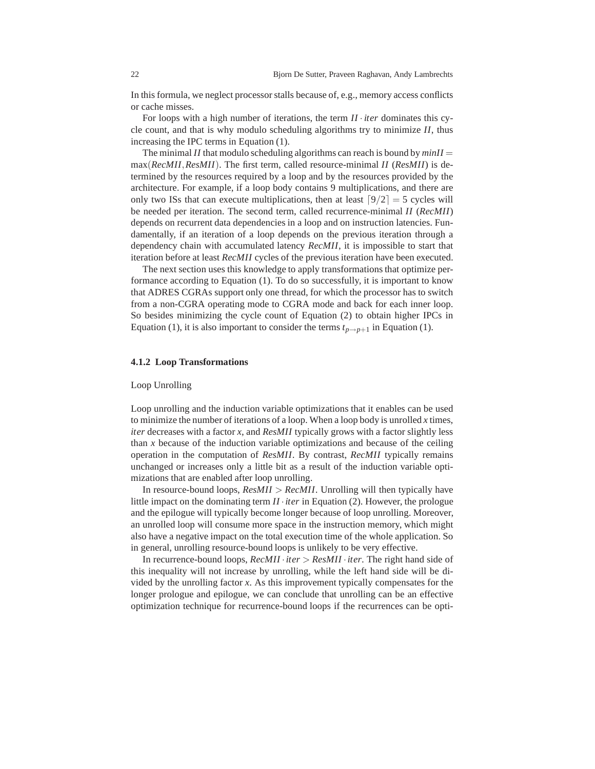In this formula, we neglect processor stalls because of, e.g., memory access conflicts or cache misses.

For loops with a high number of iterations, the term *II* · *iter* dominates this cycle count, and that is why modulo scheduling algorithms try to minimize *II*, thus increasing the IPC terms in Equation (1).

The minimal *II* that modulo scheduling algorithms can reach is bound by  $minII =$ max(*RecMII*,*ResMII*). The first term, called resource-minimal *II* (*ResMII*) is determined by the resources required by a loop and by the resources provided by the architecture. For example, if a loop body contains 9 multiplications, and there are only two ISs that can execute multiplications, then at least  $\lceil 9/2 \rceil = 5$  cycles will be needed per iteration. The second term, called recurrence-minimal *II* (*RecMII*) depends on recurrent data dependencies in a loop and on instruction latencies. Fundamentally, if an iteration of a loop depends on the previous iteration through a dependency chain with accumulated latency *RecMII*, it is impossible to start that iteration before at least *RecMII* cycles of the previous iteration have been executed.

The next section uses this knowledge to apply transformations that optimize performance according to Equation (1). To do so successfully, it is important to know that ADRES CGRAs support only one thread, for which the processor has to switch from a non-CGRA operating mode to CGRA mode and back for each inner loop. So besides minimizing the cycle count of Equation (2) to obtain higher IPCs in Equation (1), it is also important to consider the terms  $t_{p\rightarrow p+1}$  in Equation (1).

## **4.1.2 Loop Transformations**

#### Loop Unrolling

Loop unrolling and the induction variable optimizations that it enables can be used to minimize the number of iterations of a loop. When a loop body is unrolled *x* times, *iter* decreases with a factor *x*, and *ResMII* typically grows with a factor slightly less than  $x$  because of the induction variable optimizations and because of the ceiling operation in the computation of *ResMII*. By contrast, *RecMII* typically remains unchanged or increases only a little bit as a result of the induction variable optimizations that are enabled after loop unrolling.

In resource-bound loops, *ResMII* > *RecMII*. Unrolling will then typically have little impact on the dominating term *II* ·*iter* in Equation (2). However, the prologue and the epilogue will typically become longer because of loop unrolling. Moreover, an unrolled loop will consume more space in the instruction memory, which might also have a negative impact on the total execution time of the whole application. So in general, unrolling resource-bound loops is unlikely to be very effective.

In recurrence-bound loops,  $RecMI \cdot iter > ResMI \cdot iter$ . The right hand side of this inequality will not increase by unrolling, while the left hand side will be divided by the unrolling factor *x*. As this improvement typically compensates for the longer prologue and epilogue, we can conclude that unrolling can be an effective optimization technique for recurrence-bound loops if the recurrences can be opti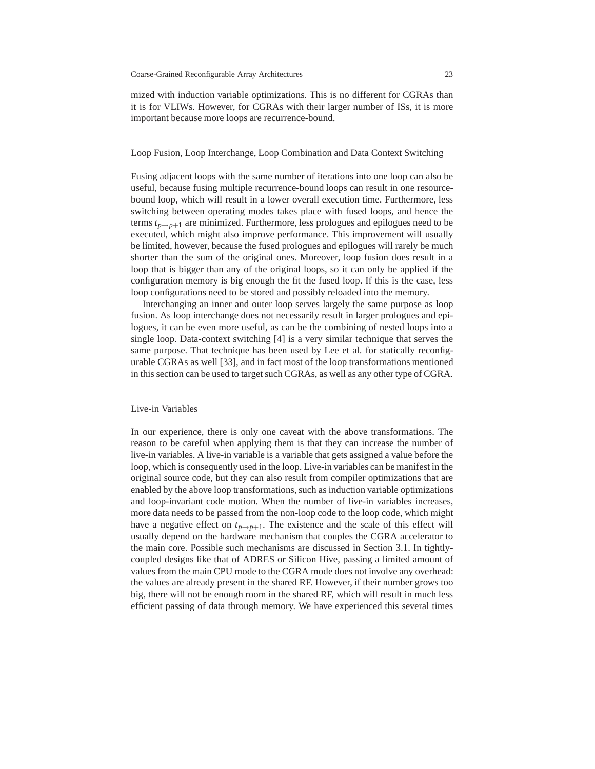mized with induction variable optimizations. This is no different for CGRAs than it is for VLIWs. However, for CGRAs with their larger number of ISs, it is more important because more loops are recurrence-bound.

### Loop Fusion, Loop Interchange, Loop Combination and Data Context Switching

Fusing adjacent loops with the same number of iterations into one loop can also be useful, because fusing multiple recurrence-bound loops can result in one resourcebound loop, which will result in a lower overall execution time. Furthermore, less switching between operating modes takes place with fused loops, and hence the terms  $t_{p\rightarrow p+1}$  are minimized. Furthermore, less prologues and epilogues need to be executed, which might also improve performance. This improvement will usually be limited, however, because the fused prologues and epilogues will rarely be much shorter than the sum of the original ones. Moreover, loop fusion does result in a loop that is bigger than any of the original loops, so it can only be applied if the configuration memory is big enough the fit the fused loop. If this is the case, less loop configurations need to be stored and possibly reloaded into the memory.

Interchanging an inner and outer loop serves largely the same purpose as loop fusion. As loop interchange does not necessarily result in larger prologues and epilogues, it can be even more useful, as can be the combining of nested loops into a single loop. Data-context switching [4] is a very similar technique that serves the same purpose. That technique has been used by Lee et al. for statically reconfigurable CGRAs as well [33], and in fact most of the loop transformations mentioned in this section can be used to target such CGRAs, as well as any other type of CGRA.

### Live-in Variables

In our experience, there is only one caveat with the above transformations. The reason to be careful when applying them is that they can increase the number of live-in variables. A live-in variable is a variable that gets assigned a value before the loop, which is consequently used in the loop. Live-in variables can be manifest in the original source code, but they can also result from compiler optimizations that are enabled by the above loop transformations, such as induction variable optimizations and loop-invariant code motion. When the number of live-in variables increases, more data needs to be passed from the non-loop code to the loop code, which might have a negative effect on  $t_{p\rightarrow p+1}$ . The existence and the scale of this effect will usually depend on the hardware mechanism that couples the CGRA accelerator to the main core. Possible such mechanisms are discussed in Section 3.1. In tightlycoupled designs like that of ADRES or Silicon Hive, passing a limited amount of values from the main CPU mode to the CGRA mode does not involve any overhead: the values are already present in the shared RF. However, if their number grows too big, there will not be enough room in the shared RF, which will result in much less efficient passing of data through memory. We have experienced this several times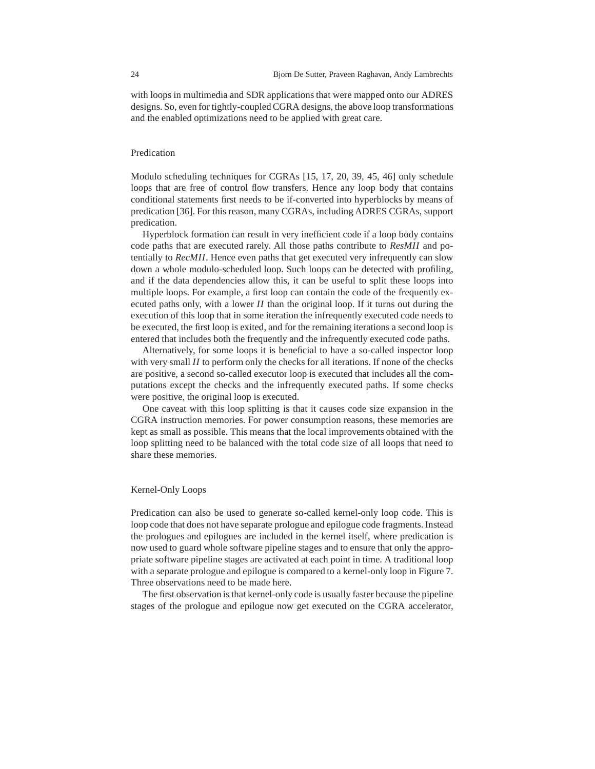with loops in multimedia and SDR applications that were mapped onto our ADRES designs. So, even for tightly-coupled CGRA designs, the above loop transformations and the enabled optimizations need to be applied with great care.

## Predication

Modulo scheduling techniques for CGRAs [15, 17, 20, 39, 45, 46] only schedule loops that are free of control flow transfers. Hence any loop body that contains conditional statements first needs to be if-converted into hyperblocks by means of predication [36]. For this reason, many CGRAs, including ADRES CGRAs, support predication.

Hyperblock formation can result in very inefficient code if a loop body contains code paths that are executed rarely. All those paths contribute to *ResMII* and potentially to *RecMII*. Hence even paths that get executed very infrequently can slow down a whole modulo-scheduled loop. Such loops can be detected with profiling, and if the data dependencies allow this, it can be useful to split these loops into multiple loops. For example, a first loop can contain the code of the frequently executed paths only, with a lower *II* than the original loop. If it turns out during the execution of this loop that in some iteration the infrequently executed code needs to be executed, the first loop is exited, and for the remaining iterations a second loop is entered that includes both the frequently and the infrequently executed code paths.

Alternatively, for some loops it is beneficial to have a so-called inspector loop with very small *II* to perform only the checks for all iterations. If none of the checks are positive, a second so-called executor loop is executed that includes all the computations except the checks and the infrequently executed paths. If some checks were positive, the original loop is executed.

One caveat with this loop splitting is that it causes code size expansion in the CGRA instruction memories. For power consumption reasons, these memories are kept as small as possible. This means that the local improvements obtained with the loop splitting need to be balanced with the total code size of all loops that need to share these memories.

## Kernel-Only Loops

Predication can also be used to generate so-called kernel-only loop code. This is loop code that does not have separate prologue and epilogue code fragments. Instead the prologues and epilogues are included in the kernel itself, where predication is now used to guard whole software pipeline stages and to ensure that only the appropriate software pipeline stages are activated at each point in time. A traditional loop with a separate prologue and epilogue is compared to a kernel-only loop in Figure 7. Three observations need to be made here.

The first observation is that kernel-only code is usually faster because the pipeline stages of the prologue and epilogue now get executed on the CGRA accelerator,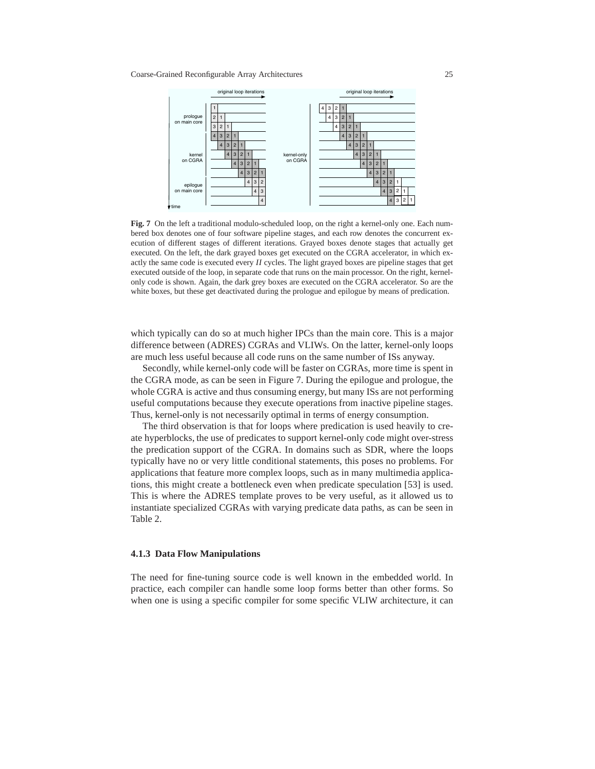Coarse-Grained Reconfigurable Array Architectures 25



Fig. 7 On the left a traditional modulo-scheduled loop, on the right a kernel-only one. Each numbered box denotes one of four software pipeline stages, and each row denotes the concurrent execution of different stages of different iterations. Grayed boxes denote stages that actually get executed. On the left, the dark grayed boxes get executed on the CGRA accelerator, in which exactly the same code is executed every *II* cycles. The light grayed boxes are pipeline stages that get executed outside of the loop, in separate code that runs on the main processor. On the right, kernelonly code is shown. Again, the dark grey boxes are executed on the CGRA accelerator. So are the white boxes, but these get deactivated during the prologue and epilogue by means of predication.

which typically can do so at much higher IPCs than the main core. This is a major difference between (ADRES) CGRAs and VLIWs. On the latter, kernel-only loops are much less useful because all code runs on the same number of ISs anyway.

Secondly, while kernel-only code will be faster on CGRAs, more time is spent in the CGRA mode, as can be seen in Figure 7. During the epilogue and prologue, the whole CGRA is active and thus consuming energy, but many ISs are not performing useful computations because they execute operations from inactive pipeline stages. Thus, kernel-only is not necessarily optimal in terms of energy consumption.

The third observation is that for loops where predication is used heavily to create hyperblocks, the use of predicates to support kernel-only code might over-stress the predication support of the CGRA. In domains such as SDR, where the loops typically have no or very little conditional statements, this poses no problems. For applications that feature more complex loops, such as in many multimedia applications, this might create a bottleneck even when predicate speculation [53] is used. This is where the ADRES template proves to be very useful, as it allowed us to instantiate specialized CGRAs with varying predicate data paths, as can be seen in Table 2.

### **4.1.3 Data Flow Manipulations**

The need for fine-tuning source code is well known in the embedded world. In practice, each compiler can handle some loop forms better than other forms. So when one is using a specific compiler for some specific VLIW architecture, it can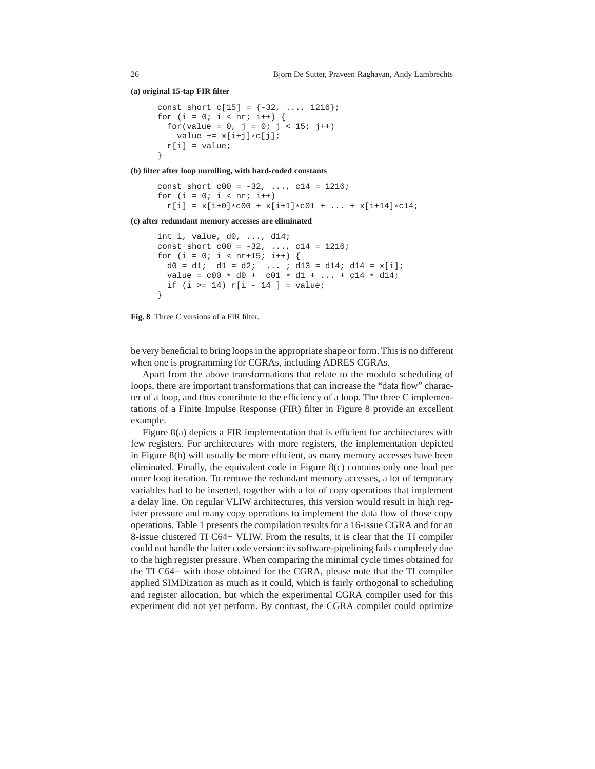**(a) original 15-tap FIR filter**

```
const short c[15] = \{-32, ..., 1216\};
for (i = 0; i < nr; i++) {
 for(value = 0, j = 0; j < 15; j++)value += x[i+j]*c[j];r[i] = value;
}
```
**(b) filter after loop unrolling, with hard-coded constants**

```
const short c00 = -32, ..., c14 = 1216;
for (i = 0; i < nr; i++)r[i] = x[i+0]*c00 + x[i+1]*c01 + ... + x[i+14]*c14;
```
**(c) after redundant memory accesses are eliminated**

```
int i, value, d0, ..., d14;
const short c00 = -32, ..., c14 = 1216;
for (i = 0; i < nr+15; i++) {
  d0 = d1; d1 = d2; ...; d13 = d14; d14 = x[i];value = c00 * d0 + c01 * d1 + ... + c14 * d14;
 if (i > = 14) r[i - 14] = value;
}
```
**Fig. 8** Three C versions of a FIR filter.

be very beneficial to bring loops in the appropriate shape or form. This is no different when one is programming for CGRAs, including ADRES CGRAs.

Apart from the above transformations that relate to the modulo scheduling of loops, there are important transformations that can increase the "data flow" character of a loop, and thus contribute to the efficiency of a loop. The three C implementations of a Finite Impulse Response (FIR) filter in Figure 8 provide an excellent example.

Figure 8(a) depicts a FIR implementation that is efficient for architectures with few registers. For architectures with more registers, the implementation depicted in Figure 8(b) will usually be more efficient, as many memory accesses have been eliminated. Finally, the equivalent code in Figure 8(c) contains only one load per outer loop iteration. To remove the redundant memory accesses, a lot of temporary variables had to be inserted, together with a lot of copy operations that implement a delay line. On regular VLIW architectures, this version would result in high register pressure and many copy operations to implement the data flow of those copy operations. Table 1 presents the compilation results for a 16-issue CGRA and for an 8-issue clustered TI C64+ VLIW. From the results, it is clear that the TI compiler could not handle the latter code version: its software-pipelining fails completely due to the high register pressure. When comparing the minimal cycle times obtained for the TI C64+ with those obtained for the CGRA, please note that the TI compiler applied SIMDization as much as it could, which is fairly orthogonal to scheduling and register allocation, but which the experimental CGRA compiler used for this experiment did not yet perform. By contrast, the CGRA compiler could optimize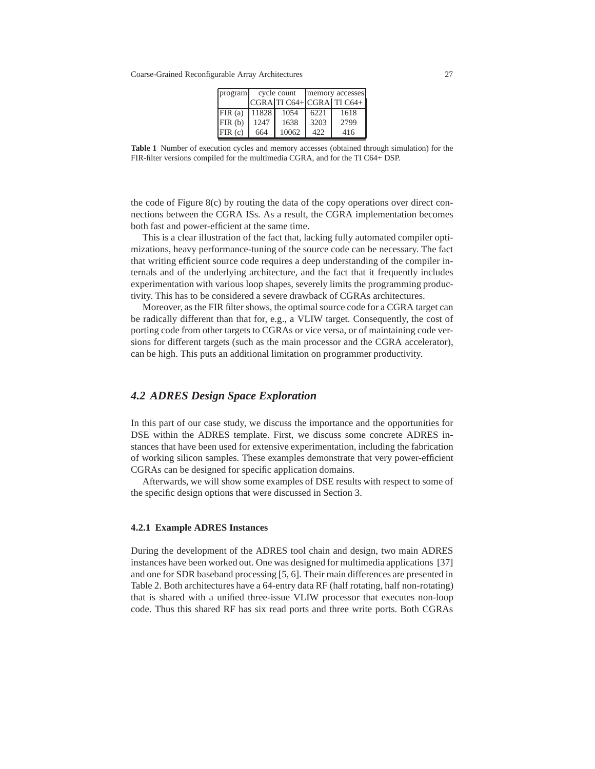| program |       | cycle count | memory accesses |                                  |  |  |
|---------|-------|-------------|-----------------|----------------------------------|--|--|
|         |       |             |                 | $CGRA$ TI $C64+ CGRA $ TI $C64+$ |  |  |
| FIR(a)  | 11828 | 1054        | 6221            | 1618                             |  |  |
| FIR(b)  | 1247  | 1638        | 3203            | 2799                             |  |  |
| FIR(c)  | 664   | 10062       | 422             | 416                              |  |  |

**Table 1** Number of execution cycles and memory accesses (obtained through simulation) for the FIR-filter versions compiled for the multimedia CGRA, and for the TI C64+ DSP.

the code of Figure 8(c) by routing the data of the copy operations over direct connections between the CGRA ISs. As a result, the CGRA implementation becomes both fast and power-efficient at the same time.

This is a clear illustration of the fact that, lacking fully automated compiler optimizations, heavy performance-tuning of the source code can be necessary. The fact that writing efficient source code requires a deep understanding of the compiler internals and of the underlying architecture, and the fact that it frequently includes experimentation with various loop shapes, severely limits the programming productivity. This has to be considered a severe drawback of CGRAs architectures.

Moreover, as the FIR filter shows, the optimal source code for a CGRA target can be radically different than that for, e.g., a VLIW target. Consequently, the cost of porting code from other targets to CGRAs or vice versa, or of maintaining code versions for different targets (such as the main processor and the CGRA accelerator), can be high. This puts an additional limitation on programmer productivity.

## *4.2 ADRES Design Space Exploration*

In this part of our case study, we discuss the importance and the opportunities for DSE within the ADRES template. First, we discuss some concrete ADRES instances that have been used for extensive experimentation, including the fabrication of working silicon samples. These examples demonstrate that very power-efficient CGRAs can be designed for specific application domains.

Afterwards, we will show some examples of DSE results with respect to some of the specific design options that were discussed in Section 3.

### **4.2.1 Example ADRES Instances**

During the development of the ADRES tool chain and design, two main ADRES instances have been worked out. One was designed for multimedia applications [37] and one for SDR baseband processing [5, 6]. Their main differences are presented in Table 2. Both architectures have a 64-entry data RF (half rotating, half non-rotating) that is shared with a unified three-issue VLIW processor that executes non-loop code. Thus this shared RF has six read ports and three write ports. Both CGRAs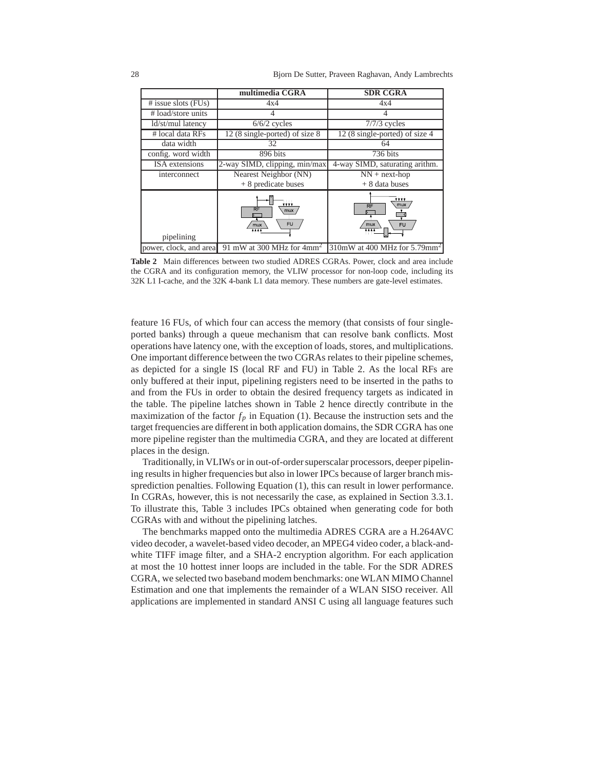|                        | multimedia CGRA                                        | <b>SDR CGRA</b>                              |  |  |  |
|------------------------|--------------------------------------------------------|----------------------------------------------|--|--|--|
| # issue slots $(FUs)$  | 4x4                                                    | 4x4                                          |  |  |  |
| # load/store units     |                                                        |                                              |  |  |  |
| ld/st/mul latency      | $6/6/2$ cycles                                         | $7/7/3$ cycles                               |  |  |  |
| # local data RFs       | 12 (8 single-ported) of size 8                         | 12 (8 single-ported) of size 4               |  |  |  |
| data width             | 32                                                     | 64                                           |  |  |  |
| config. word width     | 896 bits                                               | 736 bits                                     |  |  |  |
| <b>ISA</b> extensions  | 2-way SIMD, clipping, min/max                          | 4-way SIMD, saturating arithm.               |  |  |  |
| interconnect           | Nearest Neighbor (NN)                                  | $NN + next-hop$                              |  |  |  |
|                        | + 8 predicate buses                                    | $+8$ data buses                              |  |  |  |
| pipelining             | ℍ<br><b>RF</b><br>mux<br><b>FU</b><br>mux<br>$+ + + +$ | ++++<br>mux<br><b>RF</b><br>mux<br><b>FU</b> |  |  |  |
| power, clock, and area | 91 mW at 300 MHz for $4mm2$                            | 310mW at 400 MHz for $5.79$ mm <sup>2</sup>  |  |  |  |

**Table 2** Main differences between two studied ADRES CGRAs. Power, clock and area include the CGRA and its configuration memory, the VLIW processor for non-loop code, including its 32K L1 I-cache, and the 32K 4-bank L1 data memory. These numbers are gate-level estimates.

feature 16 FUs, of which four can access the memory (that consists of four singleported banks) through a queue mechanism that can resolve bank conflicts. Most operations have latency one, with the exception of loads, stores, and multiplications. One important difference between the two CGRAs relates to their pipeline schemes, as depicted for a single IS (local RF and FU) in Table 2. As the local RFs are only buffered at their input, pipelining registers need to be inserted in the paths to and from the FUs in order to obtain the desired frequency targets as indicated in the table. The pipeline latches shown in Table 2 hence directly contribute in the maximization of the factor  $f_p$  in Equation (1). Because the instruction sets and the target frequencies are different in both application domains, the SDR CGRA has one more pipeline register than the multimedia CGRA, and they are located at different places in the design.

Traditionally, in VLIWs or in out-of-order superscalar processors, deeper pipelining results in higher frequencies but also in lower IPCs because of larger branch missprediction penalties. Following Equation (1), this can result in lower performance. In CGRAs, however, this is not necessarily the case, as explained in Section 3.3.1. To illustrate this, Table 3 includes IPCs obtained when generating code for both CGRAs with and without the pipelining latches.

The benchmarks mapped onto the multimedia ADRES CGRA are a H.264AVC video decoder, a wavelet-based video decoder, an MPEG4 video coder, a black-andwhite TIFF image filter, and a SHA-2 encryption algorithm. For each application at most the 10 hottest inner loops are included in the table. For the SDR ADRES CGRA, we selected two baseband modem benchmarks: one WLAN MIMO Channel Estimation and one that implements the remainder of a WLAN SISO receiver. All applications are implemented in standard ANSI C using all language features such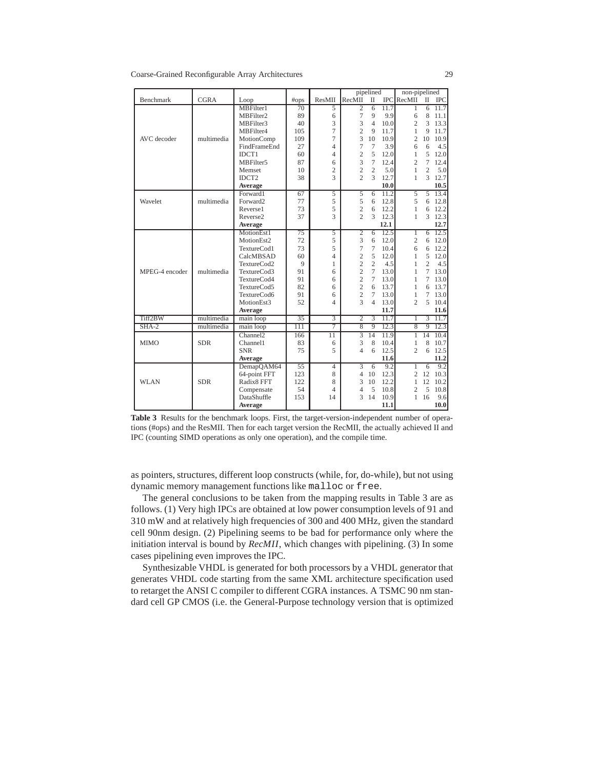Coarse-Grained Reconfigurable Array Architectures 29

|                |             |                      |                 |                | pipelined      |                |      | non-pipelined     |                |            |
|----------------|-------------|----------------------|-----------------|----------------|----------------|----------------|------|-------------------|----------------|------------|
| Benchmark      | <b>CGRA</b> | Loop                 | #ops            | ResMII         | RecMII         | $\mathbf{I}$   |      | <b>IPC</b> RecMII | $\Pi$          | <b>IPC</b> |
|                |             | <b>MBFilter1</b>     | 70              | 5              | 2              | $\overline{6}$ | 11.7 | 1                 | 6              | 11.7       |
|                |             | MBFilter2            | 89              | 6              | 7              | 9              | 9.9  | 6                 | 8              | 11.1       |
|                |             | MBFilter3            | 40              | 3              | 3              | $\overline{4}$ | 10.0 | $\overline{c}$    | 3              | 13.3       |
|                |             | MBFilter4            | 105             | 7              | $\overline{c}$ | 9              | 11.7 | 1                 | 9              | 11.7       |
| AVC decoder    | multimedia  | MotionComp           | 109             | 7              | 3              | 10             | 10.9 | $\overline{c}$    | 10             | 10.9       |
|                |             | FindFrameEnd         | 27              | $\overline{4}$ | $\overline{7}$ | $\tau$         | 3.9  | 6                 | 6              | 4.5        |
|                |             | <b>IDCT1</b>         | 60              | $\overline{4}$ | $\overline{c}$ | 5              | 12.0 | 1                 | 5              | 12.0       |
|                |             | MBFilter5            | 87              | 6              | 3              | $\tau$         | 12.4 | $\overline{c}$    | 7              | 12.4       |
|                |             | Memset               | 10              | $\overline{c}$ | $\overline{c}$ | $\overline{c}$ | 5.0  | 1                 | $\overline{c}$ | 5.0        |
|                |             | IDCT2                | 38              | 3              | $\overline{c}$ | 3              | 12.7 | 1                 | 3              | 12.7       |
|                |             | Average              |                 |                |                |                | 10.0 |                   |                | 10.5       |
|                |             | Forward1             | 67              | 5              | 5              | 6              | 11.2 | 5                 | 5              | 13.4       |
| Wavelet        | multimedia  | Forward <sub>2</sub> | 77              | 5              | 5              | 6              | 12.8 | 5                 | 6              | 12.8       |
|                |             | Reverse1             | 73              | 5              | $\overline{c}$ | 6              | 12.2 | 1                 | 6              | 12.2       |
|                |             | Reverse <sub>2</sub> | 37              | 3              | $\overline{c}$ | $\mathbf{3}$   | 12.3 | 1                 | 3              | 12.3       |
|                |             | Average              |                 |                |                |                | 12.1 |                   |                | 12.7       |
|                |             | MotionEst1           | $\overline{75}$ | 5              | $\overline{2}$ | 6              | 12.5 | 1                 | $\overline{6}$ | 12.5       |
|                |             | MotionEst2           | 72              | 5              | 3              | 6              | 12.0 | $\overline{2}$    | 6              | 12.0       |
|                |             | TextureCod1          | 73              | 5              | 7              | 7              | 10.4 | 6                 | 6              | 12.2       |
|                |             | CalcMBSAD            | 60              | 4              | $\overline{2}$ | 5              | 12.0 | 1                 | 5              | 12.0       |
|                |             | TextureCod2          | 9               | 1              | $\overline{c}$ | $\overline{c}$ | 4.5  | 1                 | $\overline{c}$ | 4.5        |
| MPEG-4 encoder | multimedia  | TextureCod3          | 91              | 6              | $\overline{2}$ | $\tau$         | 13.0 | 1                 | 7              | 13.0       |
|                |             | TextureCod4          | 91              | 6              | $\overline{c}$ | $\tau$         | 13.0 | 1                 | 7              | 13.0       |
|                |             | TextureCod5          | 82              | 6              | $\overline{c}$ | 6              | 13.7 | 1                 | 6              | 13.7       |
|                |             | TextureCod6          | 91              | 6              | $\overline{c}$ | 7              | 13.0 | 1                 | 7              | 13.0       |
|                |             | MotionEst3           | 52              | 4              | 3              | 4              | 13.0 | $\overline{c}$    | 5              | 10.4       |
|                |             | Average              |                 |                |                |                | 11.7 |                   |                | 11.6       |
| Tiff2BW        | multimedia  | main loop            | $\overline{35}$ | $\overline{3}$ | $\overline{2}$ | 3              | 11.7 | 1                 | $\overline{3}$ | 11.7       |
| $SHA-2$        | multimedia  | main loop            | 111             | 7              | $\overline{8}$ | 9              | 12.3 | 8                 | 9              | 12.3       |
|                |             | Channel <sub>2</sub> | 166             | 11             | 3              | 14             | 11.9 | 1                 | 14             | 10.4       |
| <b>MIMO</b>    | <b>SDR</b>  | Channel1             | 83              | 6              | 3              | 8              | 10.4 | 1                 | 8              | 10.7       |
|                |             | <b>SNR</b>           | 75              | 5              | 4              | 6              | 12.5 | $\overline{c}$    | 6              | 12.5       |
|                |             | Average              |                 |                |                |                | 11.6 |                   |                | 11.2       |
|                |             | DemapQAM64           | 55              | 4              | 3              | $\overline{6}$ | 9.2  | 1                 | 6              | 9.2        |
| <b>WLAN</b>    | <b>SDR</b>  | 64-point FFT         | 123             | 8              | 4              | 10             | 12.3 | $\overline{c}$    | 12             | 10.3       |
|                |             | Radix8 FFT           | 122             | 8              | 3              | 10             | 12.2 | 1                 | 12             | 10.2       |
|                |             | Compensate           | 54              | 4              | 4              | 5              | 10.8 | $\overline{2}$    | 5              | 10.8       |
|                |             | DataShuffle          | 153             | 14             | 3              | 14             | 10.9 | 1                 | 16             | 9.6        |
|                |             | Average              |                 |                |                |                | 11.1 |                   |                | 10.0       |

**Table 3** Results for the benchmark loops. First, the target-version-independent number of operations (#ops) and the ResMII. Then for each target version the RecMII, the actually achieved II and IPC (counting SIMD operations as only one operation), and the compile time.

as pointers, structures, different loop constructs (while, for, do-while), but not using dynamic memory management functions like malloc or free.

The general conclusions to be taken from the mapping results in Table 3 are as follows. (1) Very high IPCs are obtained at low power consumption levels of 91 and 310 mW and at relatively high frequencies of 300 and 400 MHz, given the standard cell 90nm design. (2) Pipelining seems to be bad for performance only where the initiation interval is bound by *RecMII*, which changes with pipelining. (3) In some cases pipelining even improves the IPC.

Synthesizable VHDL is generated for both processors by a VHDL generator that generates VHDL code starting from the same XML architecture specification used to retarget the ANSI C compiler to different CGRA instances. A TSMC 90 nm standard cell GP CMOS (i.e. the General-Purpose technology version that is optimized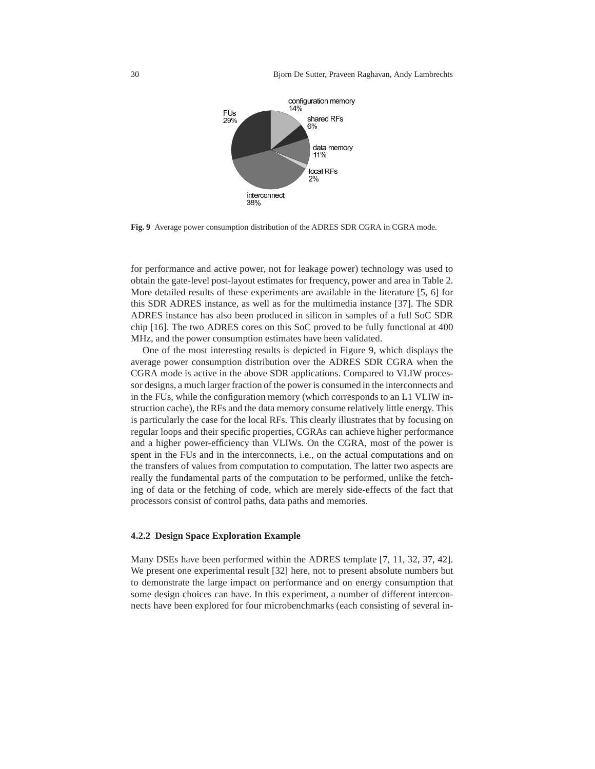

**Fig. 9** Average power consumption distribution of the ADRES SDR CGRA in CGRA mode.

for performance and active power, not for leakage power) technology was used to obtain the gate-level post-layout estimates for frequency, power and area in Table 2. More detailed results of these experiments are available in the literature [5, 6] for this SDR ADRES instance, as well as for the multimedia instance [37]. The SDR ADRES instance has also been produced in silicon in samples of a full SoC SDR chip [16]. The two ADRES cores on this SoC proved to be fully functional at 400 MHz, and the power consumption estimates have been validated.

One of the most interesting results is depicted in Figure 9, which displays the average power consumption distribution over the ADRES SDR CGRA when the CGRA mode is active in the above SDR applications. Compared to VLIW processor designs, a much larger fraction of the power is consumed in the interconnects and in the FUs, while the configuration memory (which corresponds to an L1 VLIW instruction cache), the RFs and the data memory consume relatively little energy. This is particularly the case for the local RFs. This clearly illustrates that by focusing on regular loops and their specific properties, CGRAs can achieve higher performance and a higher power-efficiency than VLIWs. On the CGRA, most of the power is spent in the FUs and in the interconnects, i.e., on the actual computations and on the transfers of values from computation to computation. The latter two aspects are really the fundamental parts of the computation to be performed, unlike the fetching of data or the fetching of code, which are merely side-effects of the fact that processors consist of control paths, data paths and memories.

#### **4.2.2 Design Space Exploration Example**

Many DSEs have been performed within the ADRES template [7, 11, 32, 37, 42]. We present one experimental result [32] here, not to present absolute numbers but to demonstrate the large impact on performance and on energy consumption that some design choices can have. In this experiment, a number of different interconnects have been explored for four microbenchmarks (each consisting of several in-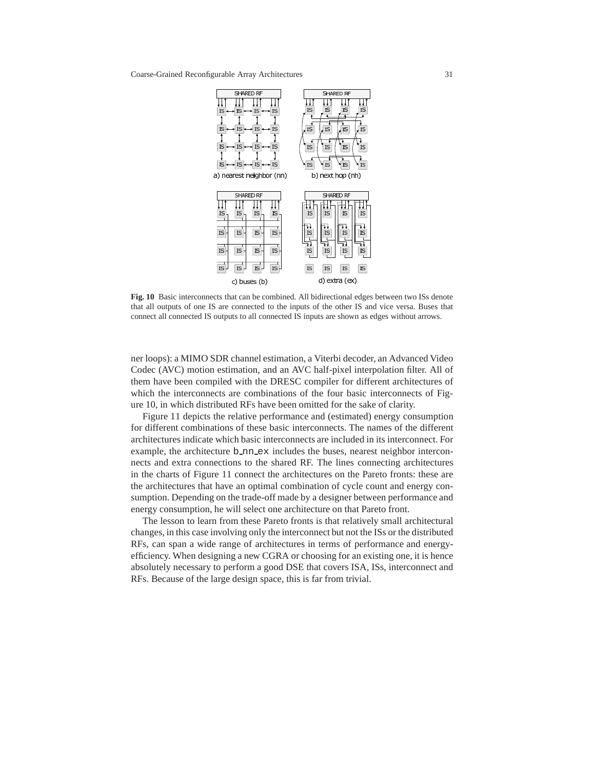

**Fig. 10** Basic interconnects that can be combined. All bidirectional edges between two ISs denote that all outputs of one IS are connected to the inputs of the other IS and vice versa. Buses that connect all connected IS outputs to all connected IS inputs are shown as edges without arrows.

ner loops): a MIMO SDR channel estimation, a Viterbi decoder, an Advanced Video Codec (AVC) motion estimation, and an AVC half-pixel interpolation filter. All of them have been compiled with the DRESC compiler for different architectures of which the interconnects are combinations of the four basic interconnects of Figure 10, in which distributed RFs have been omitted for the sake of clarity.

Figure 11 depicts the relative performance and (estimated) energy consumption for different combinations of these basic interconnects. The names of the different architectures indicate which basic interconnects are included in its interconnect. For example, the architecture b\_nn\_ex includes the buses, nearest neighbor interconnects and extra connections to the shared RF. The lines connecting architectures in the charts of Figure 11 connect the architectures on the Pareto fronts: these are the architectures that have an optimal combination of cycle count and energy consumption. Depending on the trade-off made by a designer between performance and energy consumption, he will select one architecture on that Pareto front.

The lesson to learn from these Pareto fronts is that relatively small architectural changes, in this case involving only the interconnect but not the ISs or the distributed RFs, can span a wide range of architectures in terms of performance and energyefficiency. When designing a new CGRA or choosing for an existing one, it is hence absolutely necessary to perform a good DSE that covers ISA, ISs, interconnect and RFs. Because of the large design space, this is far from trivial.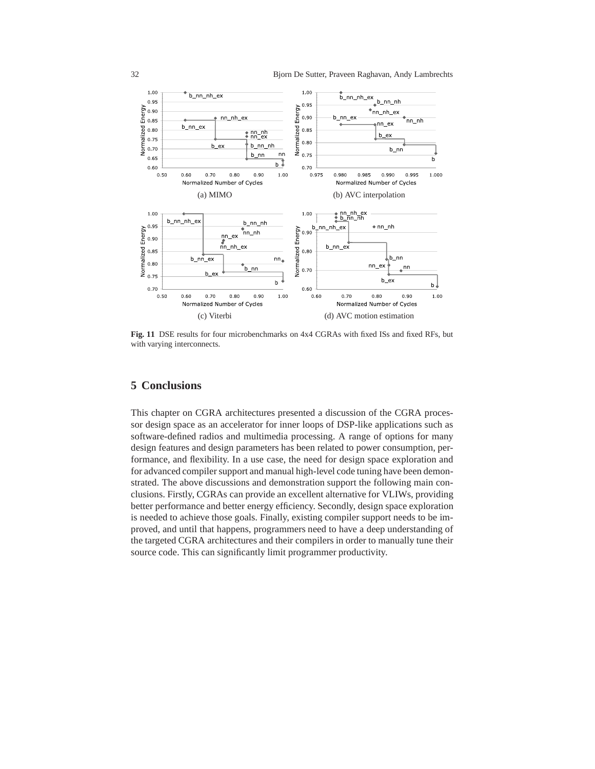

**Fig. 11** DSE results for four microbenchmarks on 4x4 CGRAs with fixed ISs and fixed RFs, but with varying interconnects.

# **5 Conclusions**

This chapter on CGRA architectures presented a discussion of the CGRA processor design space as an accelerator for inner loops of DSP-like applications such as software-defined radios and multimedia processing. A range of options for many design features and design parameters has been related to power consumption, performance, and flexibility. In a use case, the need for design space exploration and for advanced compiler support and manual high-level code tuning have been demonstrated. The above discussions and demonstration support the following main conclusions. Firstly, CGRAs can provide an excellent alternative for VLIWs, providing better performance and better energy efficiency. Secondly, design space exploration is needed to achieve those goals. Finally, existing compiler support needs to be improved, and until that happens, programmers need to have a deep understanding of the targeted CGRA architectures and their compilers in order to manually tune their source code. This can significantly limit programmer productivity.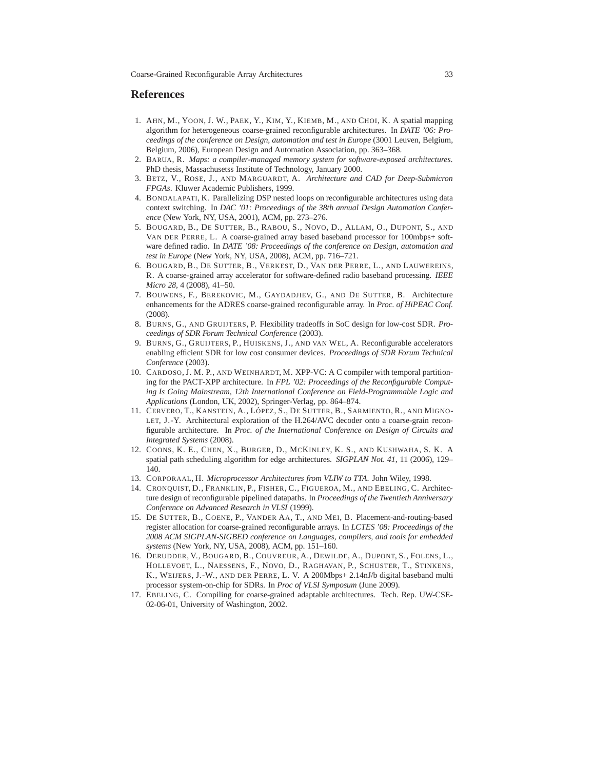## **References**

- 1. AHN, M., YOON, J. W., PAEK, Y., KIM, Y., KIEMB, M., AND CHOI, K. A spatial mapping algorithm for heterogeneous coarse-grained reconfigurable architectures. In *DATE '06: Proceedings of the conference on Design, automation and test in Europe* (3001 Leuven, Belgium, Belgium, 2006), European Design and Automation Association, pp. 363–368.
- 2. BARUA, R. *Maps: a compiler-managed memory system for software-exposed architectures*. PhD thesis, Massachusetss Institute of Technology, January 2000.
- 3. BETZ, V., ROSE, J., AND MARGUARDT, A. *Architecture and CAD for Deep-Submicron FPGAs*. Kluwer Academic Publishers, 1999.
- 4. BONDALAPATI, K. Parallelizing DSP nested loops on reconfigurable architectures using data context switching. In *DAC '01: Proceedings of the 38th annual Design Automation Conference* (New York, NY, USA, 2001), ACM, pp. 273–276.
- 5. BOUGARD, B., DE SUTTER, B., RABOU, S., NOVO, D., ALLAM, O., DUPONT, S., AND VAN DER PERRE, L. A coarse-grained array based baseband processor for 100mbps+ software defined radio. In *DATE '08: Proceedings of the conference on Design, automation and test in Europe* (New York, NY, USA, 2008), ACM, pp. 716–721.
- 6. BOUGARD, B., DE SUTTER, B., VERKEST, D., VAN DER PERRE, L., AND LAUWEREINS, R. A coarse-grained array accelerator for software-defined radio baseband processing. *IEEE Micro 28*, 4 (2008), 41–50.
- 7. BOUWENS, F., BEREKOVIC, M., GAYDADJIEV, G., AND DE SUTTER, B. Architecture enhancements for the ADRES coarse-grained reconfigurable array. In *Proc. of HiPEAC Conf.* (2008).
- 8. BURNS, G., AND GRUIJTERS, P. Flexibility tradeoffs in SoC design for low-cost SDR. *Proceedings of SDR Forum Technical Conference* (2003).
- 9. BURNS, G., GRUIJTERS, P., HUISKENS, J., AND VAN WEL, A. Reconfigurable accelerators enabling efficient SDR for low cost consumer devices. *Proceedings of SDR Forum Technical Conference* (2003).
- 10. CARDOSO, J. M. P., AND WEINHARDT, M. XPP-VC: A C compiler with temporal partitioning for the PACT-XPP architecture. In *FPL '02: Proceedings of the Reconfigurable Computing Is Going Mainstream, 12th International Conference on Field-Programmable Logic and Applications* (London, UK, 2002), Springer-Verlag, pp. 864–874.
- 11. CERVERO, T., KANSTEIN, A., LÓPEZ, S., DE SUTTER, B., SARMIENTO, R., AND MIGNO-LET, J.-Y. Architectural exploration of the H.264/AVC decoder onto a coarse-grain reconfigurable architecture. In *Proc. of the International Conference on Design of Circuits and Integrated Systems* (2008).
- 12. COONS, K. E., CHEN, X., BURGER, D., MCKINLEY, K. S., AND KUSHWAHA, S. K. A spatial path scheduling algorithm for edge architectures. *SIGPLAN Not. 41*, 11 (2006), 129– 140.
- 13. CORPORAAL, H. *Microprocessor Architectures from VLIW to TTA*. John Wiley, 1998.
- 14. CRONQUIST, D., FRANKLIN, P., FISHER, C., FIGUEROA, M., AND EBELING, C. Architecture design of reconfigurable pipelined datapaths. In *Proceedings of the Twentieth Anniversary Conference on Advanced Research in VLSI* (1999).
- 15. DE SUTTER, B., COENE, P., VANDER AA, T., AND MEI, B. Placement-and-routing-based register allocation for coarse-grained reconfigurable arrays. In *LCTES '08: Proceedings of the 2008 ACM SIGPLAN-SIGBED conference on Languages, compilers, and tools for embedded systems* (New York, NY, USA, 2008), ACM, pp. 151–160.
- 16. DERUDDER, V., BOUGARD, B., COUVREUR, A., DEWILDE, A., DUPONT, S., FOLENS, L., HOLLEVOET, L., NAESSENS, F., NOVO, D., RAGHAVAN, P., SCHUSTER, T., STINKENS, K., WEIJERS, J.-W., AND DER PERRE, L. V. A 200Mbps+ 2.14nJ/b digital baseband multi processor system-on-chip for SDRs. In *Proc of VLSI Symposum* (June 2009).
- 17. EBELING, C. Compiling for coarse-grained adaptable architectures. Tech. Rep. UW-CSE-02-06-01, University of Washington, 2002.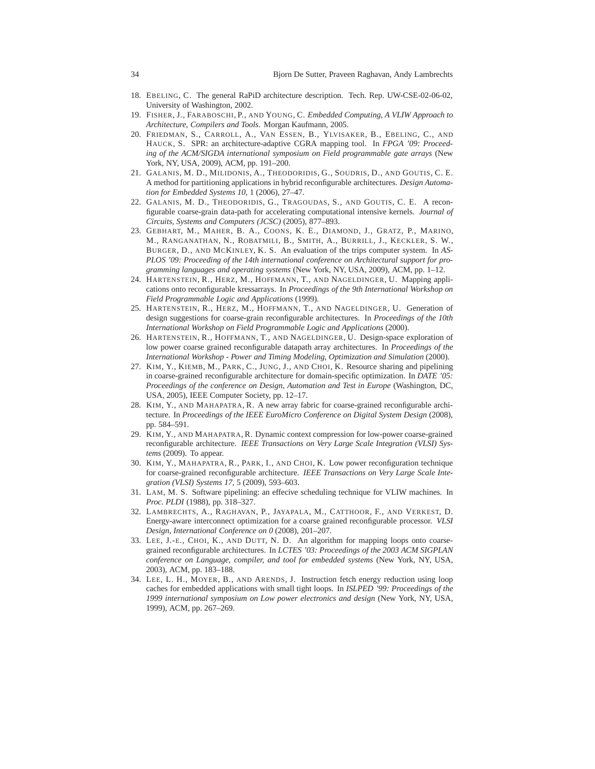- 18. EBELING, C. The general RaPiD architecture description. Tech. Rep. UW-CSE-02-06-02, University of Washington, 2002.
- 19. FISHER, J., FARABOSCHI, P., AND YOUNG, C. *Embedded Computing, A VLIW Approach to Architecture, Compilers and Tools*. Morgan Kaufmann, 2005.
- 20. FRIEDMAN, S., CARROLL, A., VAN ESSEN, B., YLVISAKER, B., EBELING, C., AND HAUCK, S. SPR: an architecture-adaptive CGRA mapping tool. In *FPGA '09: Proceeding of the ACM/SIGDA international symposium on Field programmable gate arrays* (New York, NY, USA, 2009), ACM, pp. 191–200.
- 21. GALANIS, M. D., MILIDONIS, A., THEODORIDIS, G., SOUDRIS, D., AND GOUTIS, C. E. A method for partitioning applications in hybrid reconfigurable architectures. *Design Automation for Embedded Systems 10*, 1 (2006), 27–47.
- 22. GALANIS, M. D., THEODORIDIS, G., TRAGOUDAS, S., AND GOUTIS, C. E. A reconfigurable coarse-grain data-path for accelerating computational intensive kernels. *Journal of Circuits, Systems and Computers (JCSC)* (2005), 877–893.
- 23. GEBHART, M., MAHER, B. A., COONS, K. E., DIAMOND, J., GRATZ, P., MARINO, M., RANGANATHAN, N., ROBATMILI, B., SMITH, A., BURRILL, J., KECKLER, S. W., BURGER, D., AND MCKINLEY, K. S. An evaluation of the trips computer system. In *AS-PLOS '09: Proceeding of the 14th international conference on Architectural support for programming languages and operating systems* (New York, NY, USA, 2009), ACM, pp. 1–12.
- 24. HARTENSTEIN, R., HERZ, M., HOFFMANN, T., AND NAGELDINGER, U. Mapping applications onto reconfigurable kressarrays. In *Proceedings of the 9th International Workshop on Field Programmable Logic and Applications* (1999).
- 25. HARTENSTEIN, R., HERZ, M., HOFFMANN, T., AND NAGELDINGER, U. Generation of design suggestions for coarse-grain reconfigurable architectures. In *Proceedings of the 10th International Workshop on Field Programmable Logic and Applications* (2000).
- 26. HARTENSTEIN, R., HOFFMANN, T., AND NAGELDINGER, U. Design-space exploration of low power coarse grained reconfigurable datapath array architectures. In *Proceedings of the International Workshop - Power and Timing Modeling, Optimization and Simulation* (2000).
- 27. KIM, Y., KIEMB, M., PARK, C., JUNG, J., AND CHOI, K. Resource sharing and pipelining in coarse-grained reconfigurable architecture for domain-specific optimization. In *DATE '05: Proceedings of the conference on Design, Automation and Test in Europe* (Washington, DC, USA, 2005), IEEE Computer Society, pp. 12–17.
- 28. KIM, Y., AND MAHAPATRA, R. A new array fabric for coarse-grained reconfigurable architecture. In *Proceedings of the IEEE EuroMicro Conference on Digital System Design* (2008), pp. 584–591.
- 29. KIM, Y., AND MAHAPATRA, R. Dynamic context compression for low-power coarse-grained reconfigurable architecture. *IEEE Transactions on Very Large Scale Integration (VLSI) Systems* (2009). To appear.
- 30. KIM, Y., MAHAPATRA, R., PARK, I., AND CHOI, K. Low power reconfiguration technique for coarse-grained reconfigurable architecture. *IEEE Transactions on Very Large Scale Integration (VLSI) Systems 17*, 5 (2009), 593–603.
- 31. LAM, M. S. Software pipelining: an effecive scheduling technique for VLIW machines. In *Proc. PLDI* (1988), pp. 318–327.
- 32. LAMBRECHTS, A., RAGHAVAN, P., JAYAPALA, M., CATTHOOR, F., AND VERKEST, D. Energy-aware interconnect optimization for a coarse grained reconfigurable processor. *VLSI Design, International Conference on 0* (2008), 201–207.
- 33. LEE, J.-E., CHOI, K., AND DUTT, N. D. An algorithm for mapping loops onto coarsegrained reconfigurable architectures. In *LCTES '03: Proceedings of the 2003 ACM SIGPLAN conference on Language, compiler, and tool for embedded systems* (New York, NY, USA, 2003), ACM, pp. 183–188.
- 34. LEE, L. H., MOYER, B., AND ARENDS, J. Instruction fetch energy reduction using loop caches for embedded applications with small tight loops. In *ISLPED '99: Proceedings of the 1999 international symposium on Low power electronics and design* (New York, NY, USA, 1999), ACM, pp. 267–269.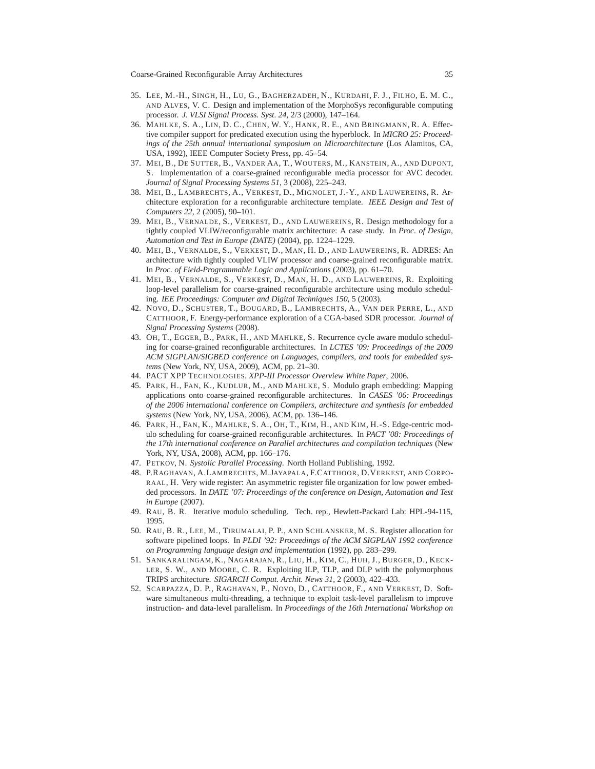- 35. LEE, M.-H., SINGH, H., LU, G., BAGHERZADEH, N., KURDAHI, F. J., FILHO, E. M. C., AND ALVES, V. C. Design and implementation of the MorphoSys reconfigurable computing processor. *J. VLSI Signal Process. Syst. 24*, 2/3 (2000), 147–164.
- 36. MAHLKE, S. A., LIN, D. C., CHEN, W. Y., HANK, R. E., AND BRINGMANN, R. A. Effective compiler support for predicated execution using the hyperblock. In *MICRO 25: Proceedings of the 25th annual international symposium on Microarchitecture* (Los Alamitos, CA, USA, 1992), IEEE Computer Society Press, pp. 45–54.
- 37. MEI, B., DE SUTTER, B., VANDER AA, T., WOUTERS, M., KANSTEIN, A., AND DUPONT, S. Implementation of a coarse-grained reconfigurable media processor for AVC decoder. *Journal of Signal Processing Systems 51*, 3 (2008), 225–243.
- 38. MEI, B., LAMBRECHTS, A., VERKEST, D., MIGNOLET, J.-Y., AND LAUWEREINS, R. Architecture exploration for a reconfigurable architecture template. *IEEE Design and Test of Computers 22*, 2 (2005), 90–101.
- 39. MEI, B., VERNALDE, S., VERKEST, D., AND LAUWEREINS, R. Design methodology for a tightly coupled VLIW/reconfigurable matrix architecture: A case study. In *Proc. of Design, Automation and Test in Europe (DATE)* (2004), pp. 1224–1229.
- 40. MEI, B., VERNALDE, S., VERKEST, D., MAN, H. D., AND LAUWEREINS, R. ADRES: An architecture with tightly coupled VLIW processor and coarse-grained reconfigurable matrix. In *Proc. of Field-Programmable Logic and Applications* (2003), pp. 61–70.
- 41. MEI, B., VERNALDE, S., VERKEST, D., MAN, H. D., AND LAUWEREINS, R. Exploiting loop-level parallelism for coarse-grained reconfigurable architecture using modulo scheduling. *IEE Proceedings: Computer and Digital Techniques 150*, 5 (2003).
- 42. NOVO, D., SCHUSTER, T., BOUGARD, B., LAMBRECHTS, A., VAN DER PERRE, L., AND CATTHOOR, F. Energy-performance exploration of a CGA-based SDR processor. *Journal of Signal Processing Systems* (2008).
- 43. OH, T., EGGER, B., PARK, H., AND MAHLKE, S. Recurrence cycle aware modulo scheduling for coarse-grained reconfigurable architectures. In *LCTES '09: Proceedings of the 2009 ACM SIGPLAN/SIGBED conference on Languages, compilers, and tools for embedded systems* (New York, NY, USA, 2009), ACM, pp. 21–30.
- 44. PACT XPP TECHNOLOGIES. *XPP-III Processor Overview White Paper*, 2006.
- 45. PARK, H., FAN, K., KUDLUR, M., AND MAHLKE, S. Modulo graph embedding: Mapping applications onto coarse-grained reconfigurable architectures. In *CASES '06: Proceedings of the 2006 international conference on Compilers, architecture and synthesis for embedded systems* (New York, NY, USA, 2006), ACM, pp. 136–146.
- 46. PARK, H., FAN, K., MAHLKE, S. A., OH, T., KIM, H., AND KIM, H.-S. Edge-centric modulo scheduling for coarse-grained reconfigurable architectures. In *PACT '08: Proceedings of the 17th international conference on Parallel architectures and compilation techniques* (New York, NY, USA, 2008), ACM, pp. 166–176.
- 47. PETKOV, N. *Systolic Parallel Processing*. North Holland Publishing, 1992.
- 48. P.RAGHAVAN, A.LAMBRECHTS, M.JAYAPALA, F.CATTHOOR, D.VERKEST, AND CORPO-RAAL, H. Very wide register: An asymmetric register file organization for low power embedded processors. In *DATE '07: Proceedings of the conference on Design, Automation and Test in Europe* (2007).
- 49. RAU, B. R. Iterative modulo scheduling. Tech. rep., Hewlett-Packard Lab: HPL-94-115, 1995.
- 50. RAU, B. R., LEE, M., TIRUMALAI, P. P., AND SCHLANSKER, M. S. Register allocation for software pipelined loops. In *PLDI '92: Proceedings of the ACM SIGPLAN 1992 conference on Programming language design and implementation* (1992), pp. 283–299.
- 51. SANKARALINGAM, K., NAGARAJAN, R., LIU, H., KIM, C., HUH, J., BURGER, D., KECK-LER, S. W., AND MOORE, C. R. Exploiting ILP, TLP, and DLP with the polymorphous TRIPS architecture. *SIGARCH Comput. Archit. News 31*, 2 (2003), 422–433.
- 52. SCARPAZZA, D. P., RAGHAVAN, P., NOVO, D., CATTHOOR, F., AND VERKEST, D. Software simultaneous multi-threading, a technique to exploit task-level parallelism to improve instruction- and data-level parallelism. In *Proceedings of the 16th International Workshop on*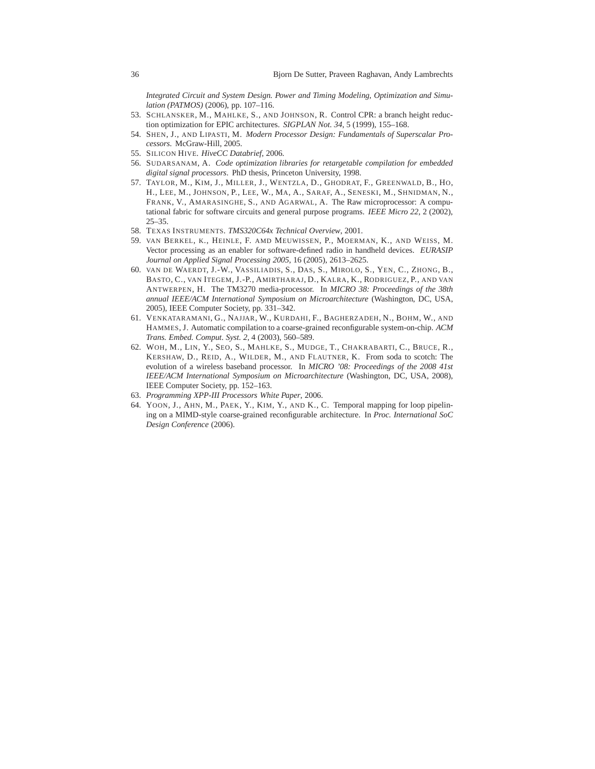*Integrated Circuit and System Design. Power and Timing Modeling, Optimization and Simulation (PATMOS)* (2006), pp. 107–116.

- 53. SCHLANSKER, M., MAHLKE, S., AND JOHNSON, R. Control CPR: a branch height reduction optimization for EPIC architectures. *SIGPLAN Not. 34*, 5 (1999), 155–168.
- 54. SHEN, J., AND LIPASTI, M. *Modern Processor Design: Fundamentals of Superscalar Processors*. McGraw-Hill, 2005.
- 55. SILICON HIVE. *HiveCC Databrief*, 2006.
- 56. SUDARSANAM, A. *Code optimization libraries for retargetable compilation for embedded digital signal processors*. PhD thesis, Princeton University, 1998.
- 57. TAYLOR, M., KIM, J., MILLER, J., WENTZLA, D., GHODRAT, F., GREENWALD, B., HO, H., LEE, M., JOHNSON, P., LEE, W., MA, A., SARAF, A., SENESKI, M., SHNIDMAN, N., FRANK, V., AMARASINGHE, S., AND AGARWAL, A. The Raw microprocessor: A computational fabric for software circuits and general purpose programs. *IEEE Micro 22*, 2 (2002), 25–35.
- 58. TEXAS INSTRUMENTS. *TMS320C64x Technical Overview*, 2001.
- 59. VAN BERKEL, K., HEINLE, F. AMD MEUWISSEN, P., MOERMAN, K., AND WEISS, M. Vector processing as an enabler for software-defined radio in handheld devices. *EURASIP Journal on Applied Signal Processing 2005*, 16 (2005), 2613–2625.
- 60. VAN DE WAERDT, J.-W., VASSILIADIS, S., DAS, S., MIROLO, S., YEN, C., ZHONG, B., BASTO, C., VAN ITEGEM, J.-P., AMIRTHARAJ, D., KALRA, K., RODRIGUEZ, P., AND VAN ANTWERPEN, H. The TM3270 media-processor. In *MICRO 38: Proceedings of the 38th annual IEEE/ACM International Symposium on Microarchitecture* (Washington, DC, USA, 2005), IEEE Computer Society, pp. 331–342.
- 61. VENKATARAMANI, G., NAJJAR, W., KURDAHI, F., BAGHERZADEH, N., BOHM, W., AND HAMMES, J. Automatic compilation to a coarse-grained reconfigurable system-on-chip. *ACM Trans. Embed. Comput. Syst. 2*, 4 (2003), 560–589.
- 62. WOH, M., LIN, Y., SEO, S., MAHLKE, S., MUDGE, T., CHAKRABARTI, C., BRUCE, R., KERSHAW, D., REID, A., WILDER, M., AND FLAUTNER, K. From soda to scotch: The evolution of a wireless baseband processor. In *MICRO '08: Proceedings of the 2008 41st IEEE/ACM International Symposium on Microarchitecture* (Washington, DC, USA, 2008), IEEE Computer Society, pp. 152–163.
- 63. *Programming XPP-III Processors White Paper*, 2006.
- 64. YOON, J., AHN, M., PAEK, Y., KIM, Y., AND K., C. Temporal mapping for loop pipelining on a MIMD-style coarse-grained reconfigurable architecture. In *Proc. International SoC Design Conference* (2006).